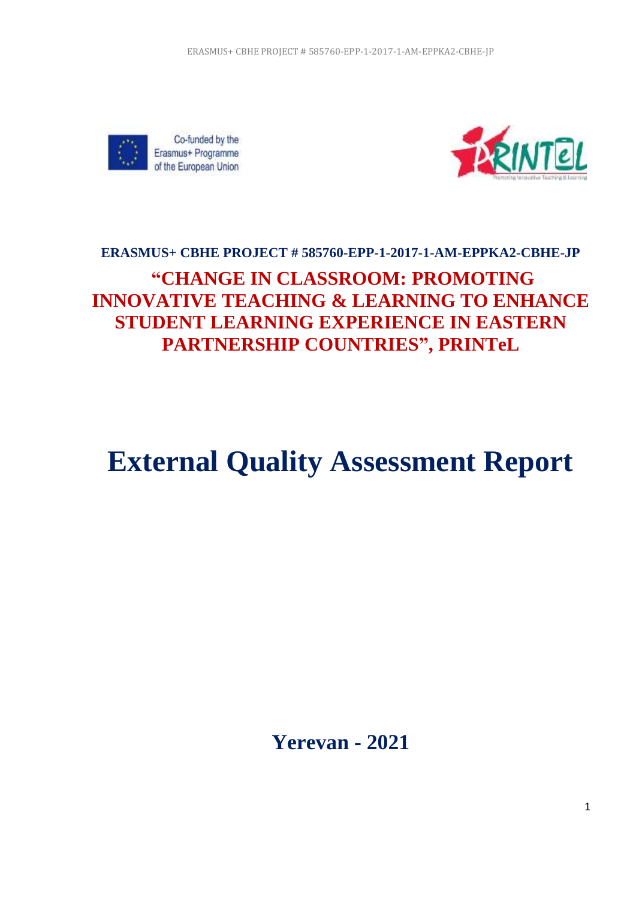



# **ERASMUS+ CBHE PROJECT # 585760-EPP-1-2017-1-AM-EPPKA2-CBHE-JP "CHANGE IN CLASSROOM: PROMOTING INNOVATIVE TEACHING & LEARNING TO ENHANCE STUDENT LEARNING EXPERIENCE IN EASTERN PARTNERSHIP COUNTRIES", PRINTeL**

# **External Quality Assessment Report**

**Yerevan - 2021**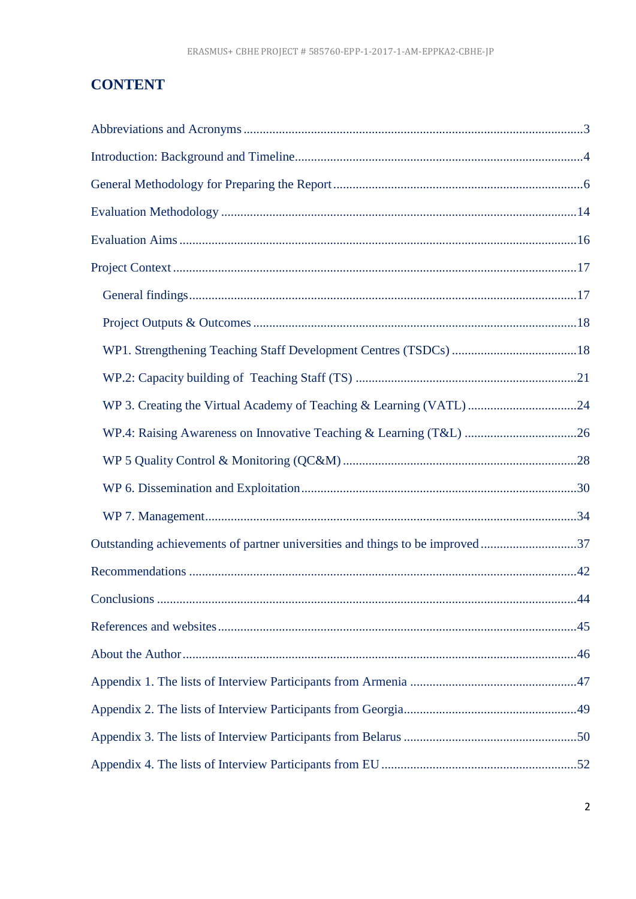# **CONTENT**

| WP 3. Creating the Virtual Academy of Teaching & Learning (VATL) 24          |     |
|------------------------------------------------------------------------------|-----|
|                                                                              |     |
|                                                                              |     |
|                                                                              |     |
|                                                                              |     |
| Outstanding achievements of partner universities and things to be improved37 |     |
|                                                                              |     |
| Conclusions                                                                  | .44 |
|                                                                              |     |
|                                                                              |     |
|                                                                              |     |
|                                                                              |     |
|                                                                              |     |
|                                                                              |     |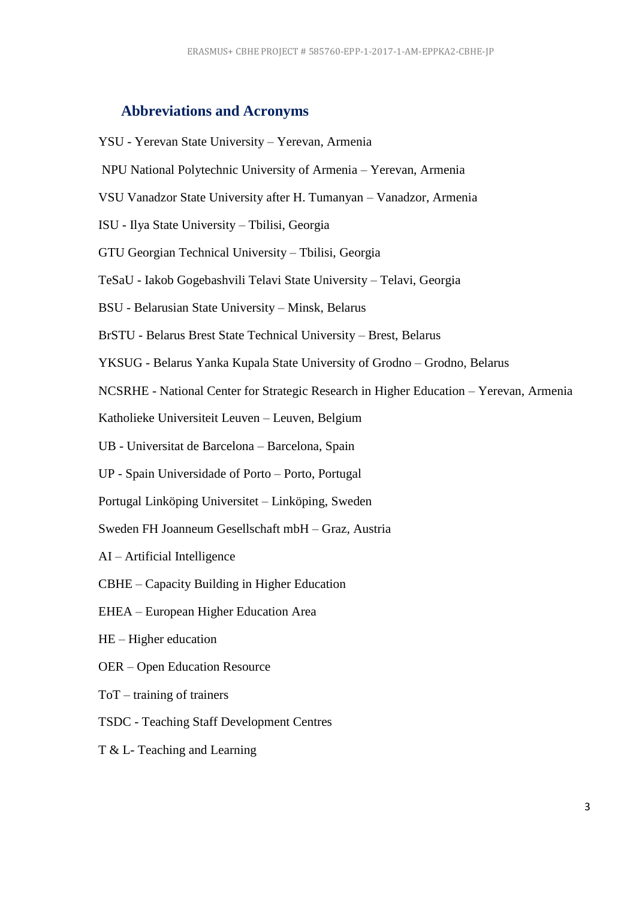# <span id="page-2-0"></span>**Abbreviations and Acronyms**

- YSU Yerevan State University Yerevan, Armenia
- NPU National Polytechnic University of Armenia Yerevan, Armenia
- VSU Vanadzor State University after H. Tumanyan Vanadzor, Armenia
- ISU Ilya State University Tbilisi, Georgia
- GTU Georgian Technical University Tbilisi, Georgia
- TeSaU Iakob Gogebashvili Telavi State University Telavi, Georgia
- BSU Belarusian State University Minsk, Belarus
- BrSTU Belarus Brest State Technical University Brest, Belarus
- YKSUG Belarus Yanka Kupala State University of Grodno Grodno, Belarus
- NCSRHE National Center for Strategic Research in Higher Education Yerevan, Armenia
- Katholieke Universiteit Leuven Leuven, Belgium
- UB Universitat de Barcelona Barcelona, Spain
- UP Spain Universidade of Porto Porto, Portugal
- Portugal Linköping Universitet Linköping, Sweden
- Sweden FH Joanneum Gesellschaft mbH Graz, Austria
- AI Artificial Intelligence
- CBHE Capacity Building in Higher Education
- EHEA European Higher Education Area
- HE Higher education
- OER Open Education Resource
- ToT training of trainers
- TSDC Teaching Staff Development Centres
- T & L- Teaching and Learning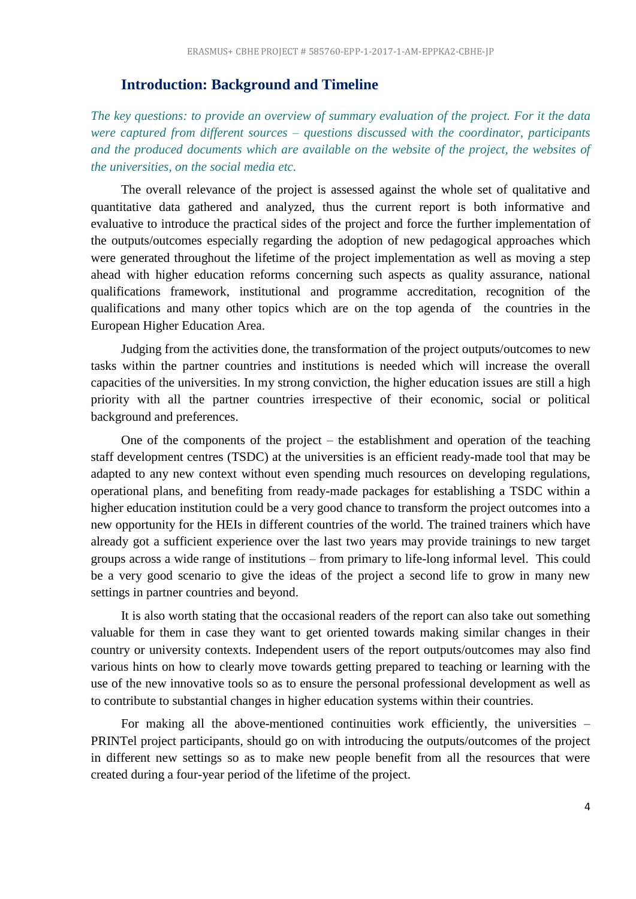#### <span id="page-3-0"></span>**Introduction: Background and Timeline**

*The key questions: to provide an overview of summary evaluation of the project. For it the data were captured from different sources – questions discussed with the coordinator, participants and the produced documents which are available on the website of the project, the websites of the universities, on the social media etc.*

The overall relevance of the project is assessed against the whole set of qualitative and quantitative data gathered and analyzed, thus the current report is both informative and evaluative to introduce the practical sides of the project and force the further implementation of the outputs/outcomes especially regarding the adoption of new pedagogical approaches which were generated throughout the lifetime of the project implementation as well as moving a step ahead with higher education reforms concerning such aspects as quality assurance, national qualifications framework, institutional and programme accreditation, recognition of the qualifications and many other topics which are on the top agenda of the countries in the European Higher Education Area.

Judging from the activities done, the transformation of the project outputs/outcomes to new tasks within the partner countries and institutions is needed which will increase the overall capacities of the universities. In my strong conviction, the higher education issues are still a high priority with all the partner countries irrespective of their economic, social or political background and preferences.

One of the components of the project – the establishment and operation of the teaching staff development centres (TSDC) at the universities is an efficient ready-made tool that may be adapted to any new context without even spending much resources on developing regulations, operational plans, and benefiting from ready-made packages for establishing a TSDC within a higher education institution could be a very good chance to transform the project outcomes into a new opportunity for the HEIs in different countries of the world. The trained trainers which have already got a sufficient experience over the last two years may provide trainings to new target groups across a wide range of institutions – from primary to life-long informal level. This could be a very good scenario to give the ideas of the project a second life to grow in many new settings in partner countries and beyond.

It is also worth stating that the occasional readers of the report can also take out something valuable for them in case they want to get oriented towards making similar changes in their country or university contexts. Independent users of the report outputs/outcomes may also find various hints on how to clearly move towards getting prepared to teaching or learning with the use of the new innovative tools so as to ensure the personal professional development as well as to contribute to substantial changes in higher education systems within their countries.

For making all the above-mentioned continuities work efficiently, the universities – PRINTel project participants, should go on with introducing the outputs/outcomes of the project in different new settings so as to make new people benefit from all the resources that were created during a four-year period of the lifetime of the project.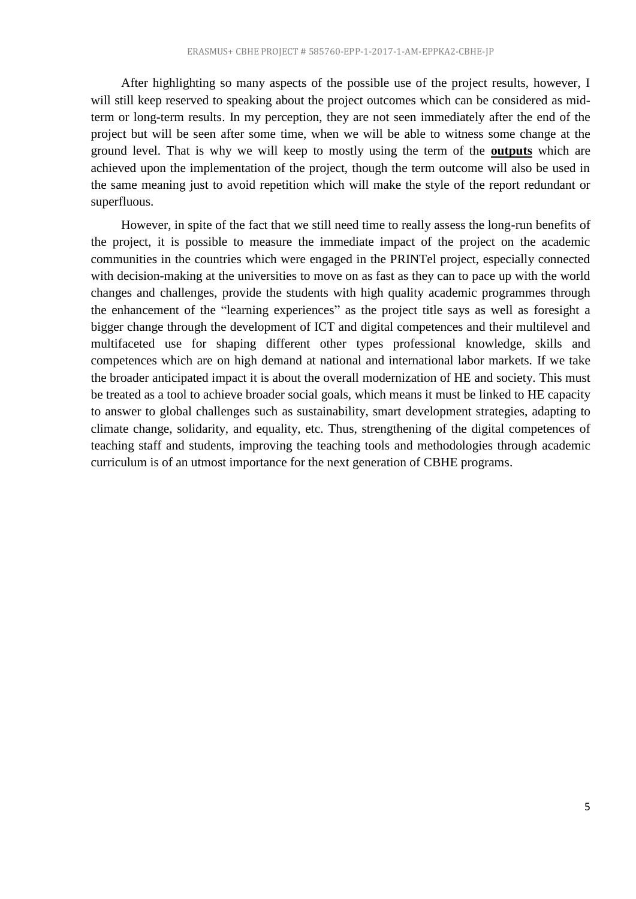After highlighting so many aspects of the possible use of the project results, however, I will still keep reserved to speaking about the project outcomes which can be considered as midterm or long-term results. In my perception, they are not seen immediately after the end of the project but will be seen after some time, when we will be able to witness some change at the ground level. That is why we will keep to mostly using the term of the **outputs** which are achieved upon the implementation of the project, though the term outcome will also be used in the same meaning just to avoid repetition which will make the style of the report redundant or superfluous.

However, in spite of the fact that we still need time to really assess the long-run benefits of the project, it is possible to measure the immediate impact of the project on the academic communities in the countries which were engaged in the PRINTel project, especially connected with decision-making at the universities to move on as fast as they can to pace up with the world changes and challenges, provide the students with high quality academic programmes through the enhancement of the "learning experiences" as the project title says as well as foresight a bigger change through the development of ICT and digital competences and their multilevel and multifaceted use for shaping different other types professional knowledge, skills and competences which are on high demand at national and international labor markets. If we take the broader anticipated impact it is about the overall modernization of HE and society. This must be treated as a tool to achieve broader social goals, which means it must be linked to HE capacity to answer to global challenges such as sustainability, smart development strategies, adapting to climate change, solidarity, and equality, etc. Thus, strengthening of the digital competences of teaching staff and students, improving the teaching tools and methodologies through academic curriculum is of an utmost importance for the next generation of CBHE programs.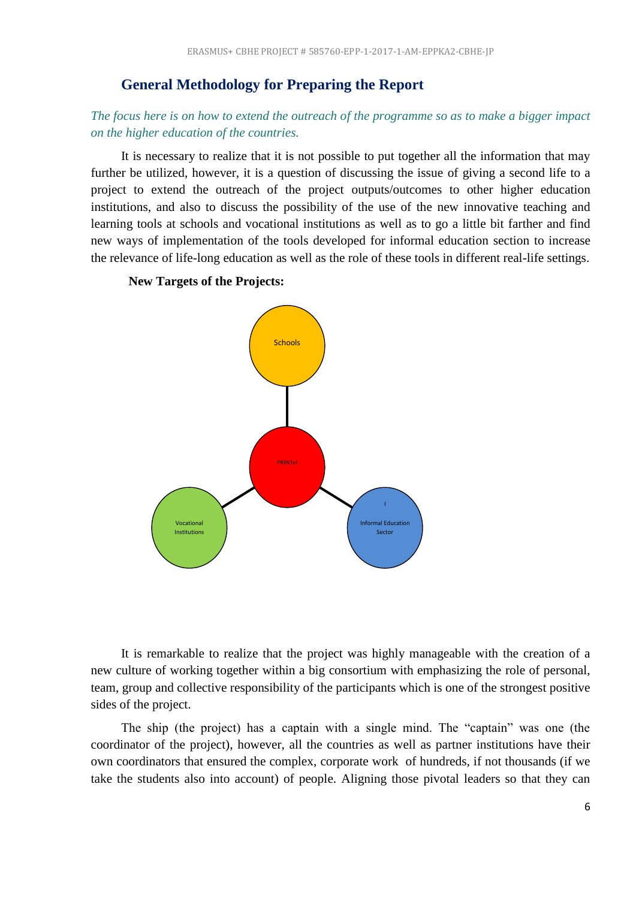#### <span id="page-5-0"></span>**General Methodology for Preparing the Report**

## *The focus here is on how to extend the outreach of the programme so as to make a bigger impact on the higher education of the countries.*

It is necessary to realize that it is not possible to put together all the information that may further be utilized, however, it is a question of discussing the issue of giving a second life to a project to extend the outreach of the project outputs/outcomes to other higher education institutions, and also to discuss the possibility of the use of the new innovative teaching and learning tools at schools and vocational institutions as well as to go a little bit farther and find new ways of implementation of the tools developed for informal education section to increase the relevance of life-long education as well as the role of these tools in different real-life settings.

#### **New Targets of the Projects:**



It is remarkable to realize that the project was highly manageable with the creation of a new culture of working together within a big consortium with emphasizing the role of personal, team, group and collective responsibility of the participants which is one of the strongest positive sides of the project.

The ship (the project) has a captain with a single mind. The "captain" was one (the coordinator of the project), however, all the countries as well as partner institutions have their own coordinators that ensured the complex, corporate work of hundreds, if not thousands (if we take the students also into account) of people. Aligning those pivotal leaders so that they can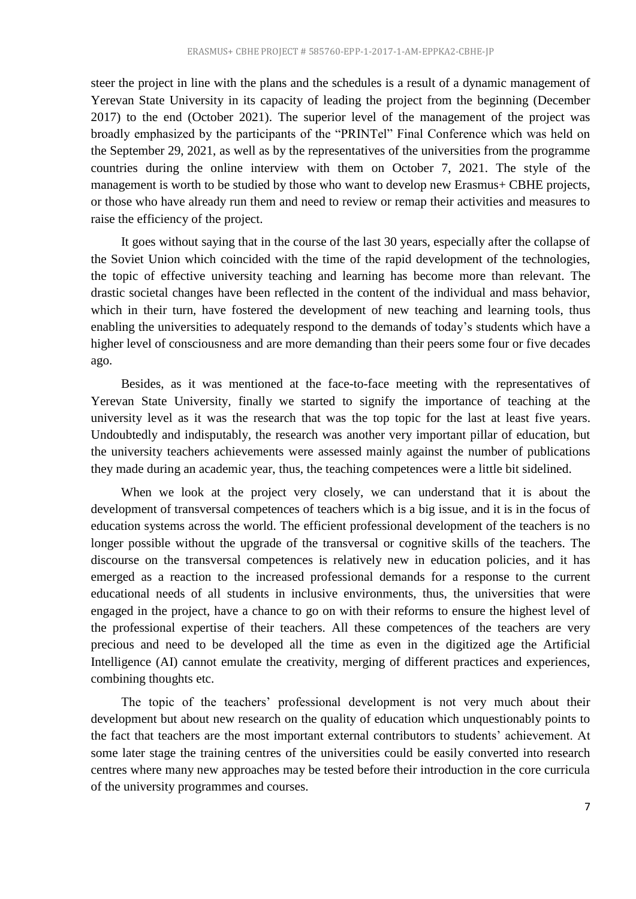steer the project in line with the plans and the schedules is a result of a dynamic management of Yerevan State University in its capacity of leading the project from the beginning (December 2017) to the end (October 2021). The superior level of the management of the project was broadly emphasized by the participants of the "PRINTel" Final Conference which was held on the September 29, 2021, as well as by the representatives of the universities from the programme countries during the online interview with them on October 7, 2021. The style of the management is worth to be studied by those who want to develop new Erasmus+ CBHE projects, or those who have already run them and need to review or remap their activities and measures to raise the efficiency of the project.

It goes without saying that in the course of the last 30 years, especially after the collapse of the Soviet Union which coincided with the time of the rapid development of the technologies, the topic of effective university teaching and learning has become more than relevant. The drastic societal changes have been reflected in the content of the individual and mass behavior, which in their turn, have fostered the development of new teaching and learning tools, thus enabling the universities to adequately respond to the demands of today's students which have a higher level of consciousness and are more demanding than their peers some four or five decades ago.

Besides, as it was mentioned at the face-to-face meeting with the representatives of Yerevan State University, finally we started to signify the importance of teaching at the university level as it was the research that was the top topic for the last at least five years. Undoubtedly and indisputably, the research was another very important pillar of education, but the university teachers achievements were assessed mainly against the number of publications they made during an academic year, thus, the teaching competences were a little bit sidelined.

When we look at the project very closely, we can understand that it is about the development of transversal competences of teachers which is a big issue, and it is in the focus of education systems across the world. The efficient professional development of the teachers is no longer possible without the upgrade of the transversal or cognitive skills of the teachers. The discourse on the transversal competences is relatively new in education policies, and it has emerged as a reaction to the increased professional demands for a response to the current educational needs of all students in inclusive environments, thus, the universities that were engaged in the project, have a chance to go on with their reforms to ensure the highest level of the professional expertise of their teachers. All these competences of the teachers are very precious and need to be developed all the time as even in the digitized age the Artificial Intelligence (AI) cannot emulate the creativity, merging of different practices and experiences, combining thoughts etc.

The topic of the teachers' professional development is not very much about their development but about new research on the quality of education which unquestionably points to the fact that teachers are the most important external contributors to students' achievement. At some later stage the training centres of the universities could be easily converted into research centres where many new approaches may be tested before their introduction in the core curricula of the university programmes and courses.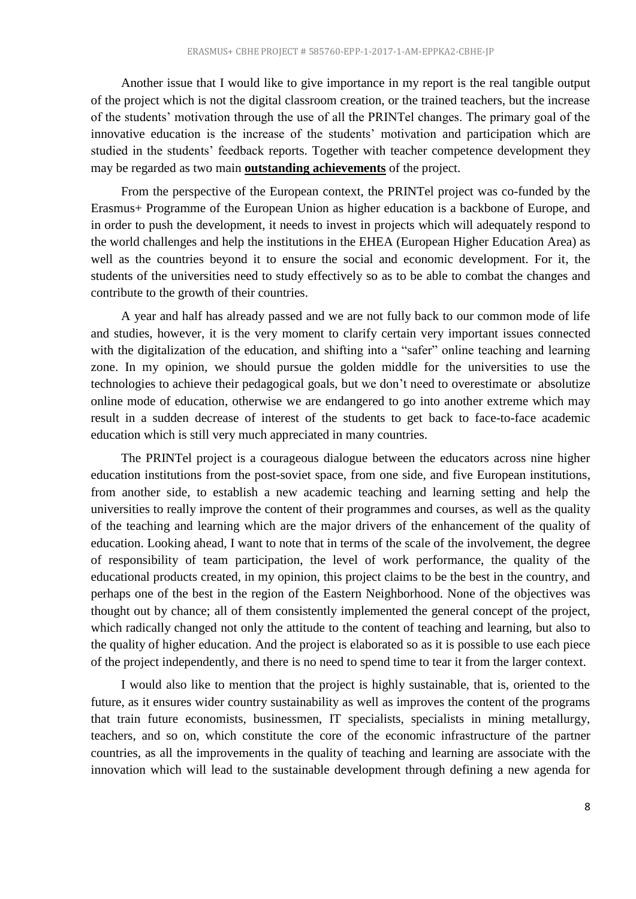Another issue that I would like to give importance in my report is the real tangible output of the project which is not the digital classroom creation, or the trained teachers, but the increase of the students' motivation through the use of all the PRINTel changes. The primary goal of the innovative education is the increase of the students' motivation and participation which are studied in the students' feedback reports. Together with teacher competence development they may be regarded as two main **outstanding achievements** of the project.

From the perspective of the European context, the PRINTel project was co-funded by the Erasmus+ Programme of the European Union as higher education is a backbone of Europe, and in order to push the development, it needs to invest in projects which will adequately respond to the world challenges and help the institutions in the EHEA (European Higher Education Area) as well as the countries beyond it to ensure the social and economic development. For it, the students of the universities need to study effectively so as to be able to combat the changes and contribute to the growth of their countries.

A year and half has already passed and we are not fully back to our common mode of life and studies, however, it is the very moment to clarify certain very important issues connected with the digitalization of the education, and shifting into a "safer" online teaching and learning zone. In my opinion, we should pursue the golden middle for the universities to use the technologies to achieve their pedagogical goals, but we don't need to overestimate or absolutize online mode of education, otherwise we are endangered to go into another extreme which may result in a sudden decrease of interest of the students to get back to face-to-face academic education which is still very much appreciated in many countries.

The PRINTel project is a courageous dialogue between the educators across nine higher education institutions from the post-soviet space, from one side, and five European institutions, from another side, to establish a new academic teaching and learning setting and help the universities to really improve the content of their programmes and courses, as well as the quality of the teaching and learning which are the major drivers of the enhancement of the quality of education. Looking ahead, I want to note that in terms of the scale of the involvement, the degree of responsibility of team participation, the level of work performance, the quality of the educational products created, in my opinion, this project claims to be the best in the country, and perhaps one of the best in the region of the Eastern Neighborhood. None of the objectives was thought out by chance; all of them consistently implemented the general concept of the project, which radically changed not only the attitude to the content of teaching and learning, but also to the quality of higher education. And the project is elaborated so as it is possible to use each piece of the project independently, and there is no need to spend time to tear it from the larger context.

I would also like to mention that the project is highly sustainable, that is, oriented to the future, as it ensures wider country sustainability as well as improves the content of the programs that train future economists, businessmen, IT specialists, specialists in mining metallurgy, teachers, and so on, which constitute the core of the economic infrastructure of the partner countries, as all the improvements in the quality of teaching and learning are associate with the innovation which will lead to the sustainable development through defining a new agenda for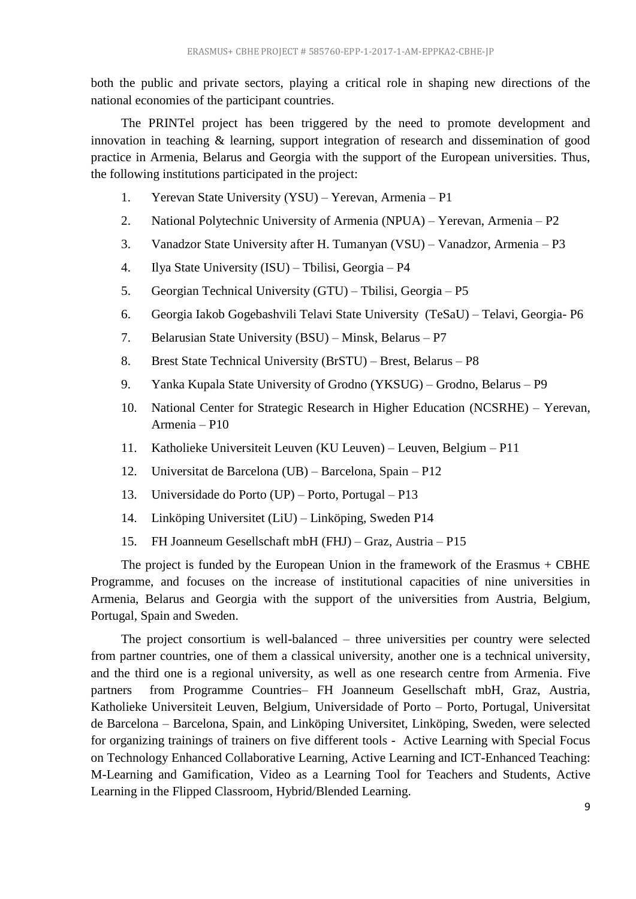both the public and private sectors, playing a critical role in shaping new directions of the national economies of the participant countries.

The PRINTel project has been triggered by the need to promote development and innovation in teaching & learning, support integration of research and dissemination of good practice in Armenia, Belarus and Georgia with the support of the European universities. Thus, the following institutions participated in the project:

- 1. Yerevan State University (YSU) Yerevan, Armenia P1
- 2. National Polytechnic University of Armenia (NPUA) Yerevan, Armenia P2
- 3. Vanadzor State University after H. Tumanyan (VSU) Vanadzor, Armenia P3
- 4. Ilya State University (ISU) Tbilisi, Georgia P4
- 5. Georgian Technical University (GTU) Tbilisi, Georgia P5
- 6. Georgia Iakob Gogebashvili Telavi State University (TeSaU) Telavi, Georgia- P6
- 7. Belarusian State University (BSU) Minsk, Belarus P7
- 8. Brest State Technical University (BrSTU) Brest, Belarus P8
- 9. Yanka Kupala State University of Grodno (YKSUG) Grodno, Belarus P9
- 10. National Center for Strategic Research in Higher Education (NCSRHE) Yerevan, Armenia – P10
- 11. Katholieke Universiteit Leuven (KU Leuven) Leuven, Belgium P11
- 12. Universitat de Barcelona (UB) Barcelona, Spain P12
- 13. Universidade do Porto (UP) Porto, Portugal P13
- 14. Linköping Universitet (LiU) Linköping, Sweden P14
- 15. FH Joanneum Gesellschaft mbH (FHJ) Graz, Austria P15

The project is funded by the European Union in the framework of the Erasmus  $+$  CBHE Programme, and focuses on the increase of institutional capacities of nine universities in Armenia, Belarus and Georgia with the support of the universities from Austria, Belgium, Portugal, Spain and Sweden.

The project consortium is well-balanced – three universities per country were selected from partner countries, one of them a classical university, another one is a technical university, and the third one is a regional university, as well as one research centre from Armenia. Five partners from Programme Countries– FH Joanneum Gesellschaft mbH, Graz, Austria, Katholieke Universiteit Leuven, Belgium, Universidade of Porto – Porto, Portugal, Universitat de Barcelona – Barcelona, Spain, and Linköping Universitet, Linköping, Sweden, were selected for organizing trainings of trainers on five different tools - [Active Learning with Special Focus](http://printel.am/uploads/page/pdfs/PrintEl%20workbook%20FINAL-1%2013-11-2020.pdf)  [on Technology Enhanced Collaborative Learning,](http://printel.am/uploads/page/pdfs/PrintEl%20workbook%20FINAL-1%2013-11-2020.pdf) [Active Learning and ICT-Enhanced Teaching:](http://printel.am/uploads/page/pdfs/PrintEl%20workbook%20FINAL-2%2013-11-2020.pdf)  [M-Learning and Gamification,](http://printel.am/uploads/page/pdfs/PrintEl%20workbook%20FINAL-2%2013-11-2020.pdf) [Video as a Learning Tool for Teachers and Students,](http://printel.am/uploads/page/pdfs/PrintEl%20workbook%20FINAL-3%2013-11-2020.pdf) [Active](http://printel.am/uploads/page/pdfs/PrintEl%20workbook%20FINAL-4%2013-11-2020.pdf)  [Learning in the Flipped Classroom,](http://printel.am/uploads/page/pdfs/PrintEl%20workbook%20FINAL-4%2013-11-2020.pdf) [Hybrid/Blended Learning.](http://printel.am/uploads/page/pdfs/PrintEl%20workbook%20FINAL-5%2013-11-2020.pdf)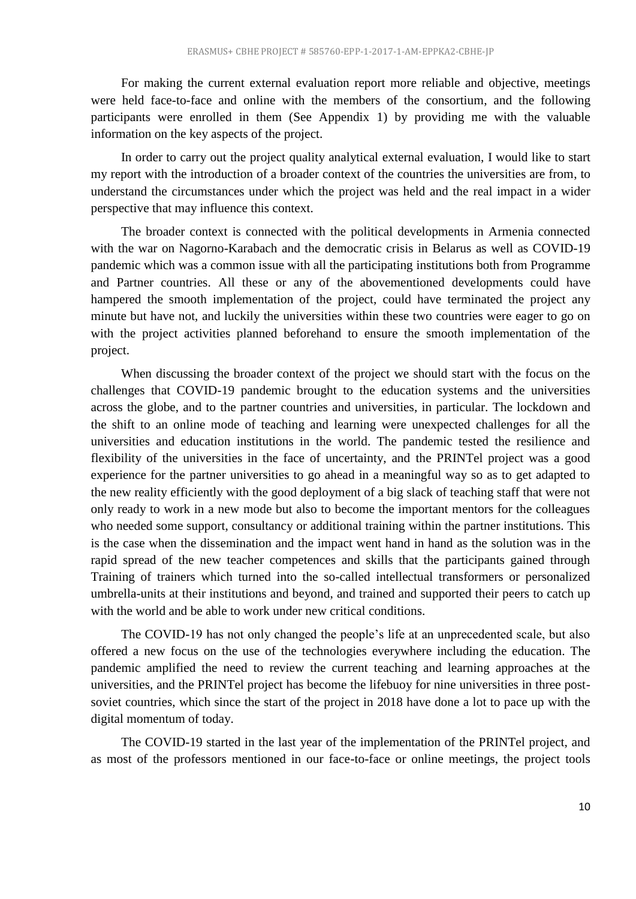For making the current external evaluation report more reliable and objective, meetings were held face-to-face and online with the members of the consortium, and the following participants were enrolled in them (See Appendix 1) by providing me with the valuable information on the key aspects of the project.

In order to carry out the project quality analytical external evaluation, I would like to start my report with the introduction of a broader context of the countries the universities are from, to understand the circumstances under which the project was held and the real impact in a wider perspective that may influence this context.

The broader context is connected with the political developments in Armenia connected with the war on Nagorno-Karabach and the democratic crisis in Belarus as well as COVID-19 pandemic which was a common issue with all the participating institutions both from Programme and Partner countries. All these or any of the abovementioned developments could have hampered the smooth implementation of the project, could have terminated the project any minute but have not, and luckily the universities within these two countries were eager to go on with the project activities planned beforehand to ensure the smooth implementation of the project.

When discussing the broader context of the project we should start with the focus on the challenges that COVID-19 pandemic brought to the education systems and the universities across the globe, and to the partner countries and universities, in particular. The lockdown and the shift to an online mode of teaching and learning were unexpected challenges for all the universities and education institutions in the world. The pandemic tested the resilience and flexibility of the universities in the face of uncertainty, and the PRINTel project was a good experience for the partner universities to go ahead in a meaningful way so as to get adapted to the new reality efficiently with the good deployment of a big slack of teaching staff that were not only ready to work in a new mode but also to become the important mentors for the colleagues who needed some support, consultancy or additional training within the partner institutions. This is the case when the dissemination and the impact went hand in hand as the solution was in the rapid spread of the new teacher competences and skills that the participants gained through Training of trainers which turned into the so-called intellectual transformers or personalized umbrella-units at their institutions and beyond, and trained and supported their peers to catch up with the world and be able to work under new critical conditions.

The COVID-19 has not only changed the people's life at an unprecedented scale, but also offered a new focus on the use of the technologies everywhere including the education. The pandemic amplified the need to review the current teaching and learning approaches at the universities, and the PRINTel project has become the lifebuoy for nine universities in three postsoviet countries, which since the start of the project in 2018 have done a lot to pace up with the digital momentum of today.

The COVID-19 started in the last year of the implementation of the PRINTel project, and as most of the professors mentioned in our face-to-face or online meetings, the project tools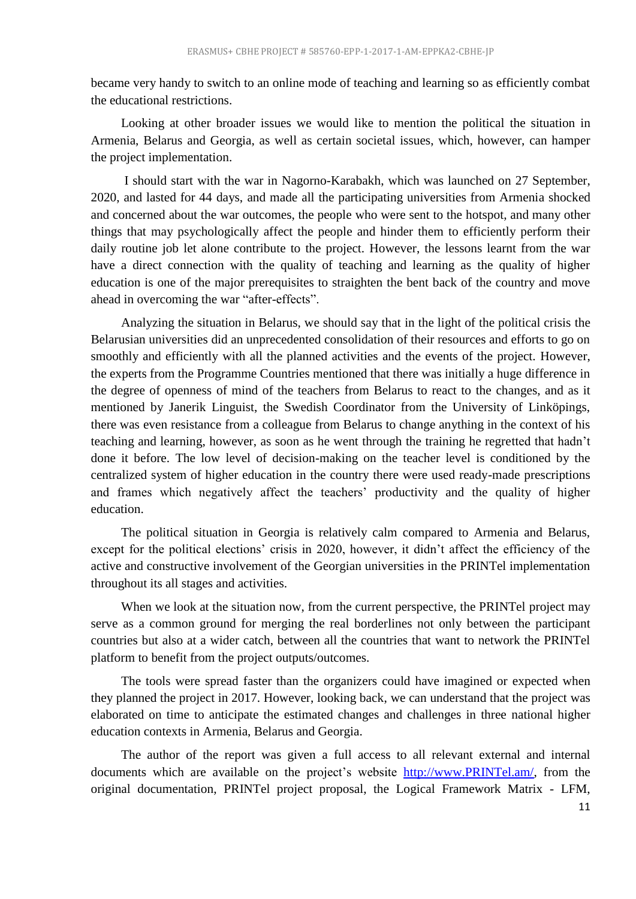became very handy to switch to an online mode of teaching and learning so as efficiently combat the educational restrictions.

Looking at other broader issues we would like to mention the political the situation in Armenia, Belarus and Georgia, as well as certain societal issues, which, however, can hamper the project implementation.

I should start with the war in Nagorno-Karabakh, which was launched on 27 September, 2020, and lasted for 44 days, and made all the participating universities from Armenia shocked and concerned about the war outcomes, the people who were sent to the hotspot, and many other things that may psychologically affect the people and hinder them to efficiently perform their daily routine job let alone contribute to the project. However, the lessons learnt from the war have a direct connection with the quality of teaching and learning as the quality of higher education is one of the major prerequisites to straighten the bent back of the country and move ahead in overcoming the war "after-effects".

Analyzing the situation in Belarus, we should say that in the light of the political crisis the Belarusian universities did an unprecedented consolidation of their resources and efforts to go on smoothly and efficiently with all the planned activities and the events of the project. However, the experts from the Programme Countries mentioned that there was initially a huge difference in the degree of openness of mind of the teachers from Belarus to react to the changes, and as it mentioned by Janerik Linguist, the Swedish Coordinator from the University of Linköpings, there was even resistance from a colleague from Belarus to change anything in the context of his teaching and learning, however, as soon as he went through the training he regretted that hadn't done it before. The low level of decision-making on the teacher level is conditioned by the centralized system of higher education in the country there were used ready-made prescriptions and frames which negatively affect the teachers' productivity and the quality of higher education.

The political situation in Georgia is relatively calm compared to Armenia and Belarus, except for the political elections' crisis in 2020, however, it didn't affect the efficiency of the active and constructive involvement of the Georgian universities in the PRINTel implementation throughout its all stages and activities.

When we look at the situation now, from the current perspective, the PRINTel project may serve as a common ground for merging the real borderlines not only between the participant countries but also at a wider catch, between all the countries that want to network the PRINTel platform to benefit from the project outputs/outcomes.

The tools were spread faster than the organizers could have imagined or expected when they planned the project in 2017. However, looking back, we can understand that the project was elaborated on time to anticipate the estimated changes and challenges in three national higher education contexts in Armenia, Belarus and Georgia.

The author of the report was given a full access to all relevant external and internal documents which are available on the project's website [http://www.PRINTel.am/,](http://www.printel.am/) from the original documentation, PRINTel project proposal, the Logical Framework Matrix - LFM,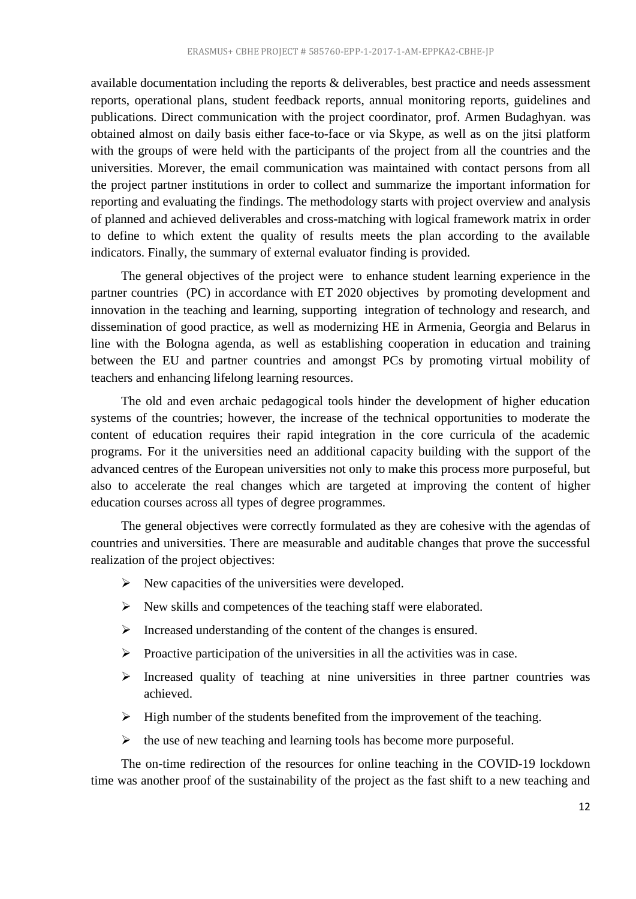available documentation including the reports & deliverables, best practice and needs assessment reports, operational plans, student feedback reports, annual monitoring reports, guidelines and publications. Direct communication with the project coordinator, prof. Armen Budaghyan. was obtained almost on daily basis either face-to-face or via Skype, as well as on the jitsi platform with the groups of were held with the participants of the project from all the countries and the universities. Morever, the email communication was maintained with contact persons from all the project partner institutions in order to collect and summarize the important information for reporting and evaluating the findings. The methodology starts with project overview and analysis of planned and achieved deliverables and cross-matching with logical framework matrix in order to define to which extent the quality of results meets the plan according to the available indicators. Finally, the summary of external evaluator finding is provided.

The general objectives of the project were to enhance student learning experience in the partner countries (PC) in accordance with ET 2020 objectives by promoting development and innovation in the teaching and learning, supporting integration of technology and research, and dissemination of good practice, as well as modernizing HE in Armenia, Georgia and Belarus in line with the Bologna agenda, as well as establishing cooperation in education and training between the EU and partner countries and amongst PCs by promoting virtual mobility of teachers and enhancing lifelong learning resources.

The old and even archaic pedagogical tools hinder the development of higher education systems of the countries; however, the increase of the technical opportunities to moderate the content of education requires their rapid integration in the core curricula of the academic programs. For it the universities need an additional capacity building with the support of the advanced centres of the European universities not only to make this process more purposeful, but also to accelerate the real changes which are targeted at improving the content of higher education courses across all types of degree programmes.

The general objectives were correctly formulated as they are cohesive with the agendas of countries and universities. There are measurable and auditable changes that prove the successful realization of the project objectives:

- $\triangleright$  New capacities of the universities were developed.
- $\triangleright$  New skills and competences of the teaching staff were elaborated.
- $\triangleright$  Increased understanding of the content of the changes is ensured.
- $\triangleright$  Proactive participation of the universities in all the activities was in case.
- $\triangleright$  Increased quality of teaching at nine universities in three partner countries was achieved.
- $\triangleright$  High number of the students benefited from the improvement of the teaching.
- $\triangleright$  the use of new teaching and learning tools has become more purposeful.

The on-time redirection of the resources for online teaching in the COVID-19 lockdown time was another proof of the sustainability of the project as the fast shift to a new teaching and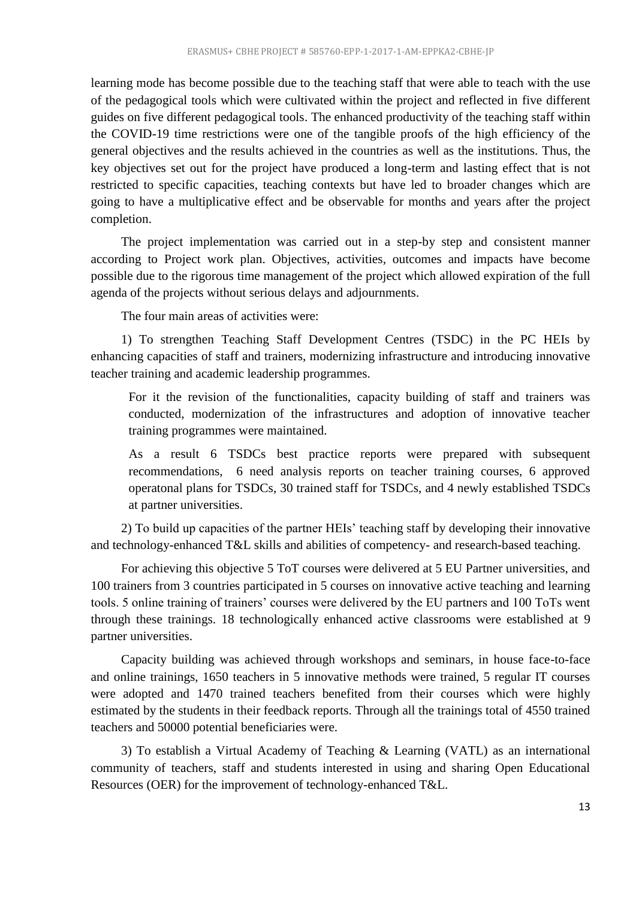learning mode has become possible due to the teaching staff that were able to teach with the use of the pedagogical tools which were cultivated within the project and reflected in five different guides on five different pedagogical tools. The enhanced productivity of the teaching staff within the COVID-19 time restrictions were one of the tangible proofs of the high efficiency of the general objectives and the results achieved in the countries as well as the institutions. Thus, the key objectives set out for the project have produced a long-term and lasting effect that is not restricted to specific capacities, teaching contexts but have led to broader changes which are going to have a multiplicative effect and be observable for months and years after the project completion.

The project implementation was carried out in a step-by step and consistent manner according to Project work plan. Objectives, activities, outcomes and impacts have become possible due to the rigorous time management of the project which allowed expiration of the full agenda of the projects without serious delays and adjournments.

The four main areas of activities were:

1) To strengthen Teaching Staff Development Centres (TSDC) in the PC HEIs by enhancing capacities of staff and trainers, modernizing infrastructure and introducing innovative teacher training and academic leadership programmes.

For it the revision of the functionalities, capacity building of staff and trainers was conducted, modernization of the infrastructures and adoption of innovative teacher training programmes were maintained.

As a result 6 TSDCs best practice reports were prepared with subsequent recommendations, 6 need analysis reports on teacher training courses, 6 approved operatonal plans for TSDCs, 30 trained staff for TSDCs, and 4 newly established TSDCs at partner universities.

2) To build up capacities of the partner HEIs' teaching staff by developing their innovative and technology-enhanced T&L skills and abilities of competency- and research-based teaching.

For achieving this objective 5 ToT courses were delivered at 5 EU Partner universities, and 100 trainers from 3 countries participated in 5 courses on innovative active teaching and learning tools. 5 online training of trainers' courses were delivered by the EU partners and 100 ToTs went through these trainings. 18 technologically enhanced active classrooms were established at 9 partner universities.

Capacity building was achieved through workshops and seminars, in house face-to-face and online trainings, 1650 teachers in 5 innovative methods were trained, 5 regular IT courses were adopted and 1470 trained teachers benefited from their courses which were highly estimated by the students in their feedback reports. Through all the trainings total of 4550 trained teachers and 50000 potential beneficiaries were.

3) To establish a Virtual Academy of Teaching & Learning (VATL) as an international community of teachers, staff and students interested in using and sharing Open Educational Resources (OER) for the improvement of technology-enhanced T&L.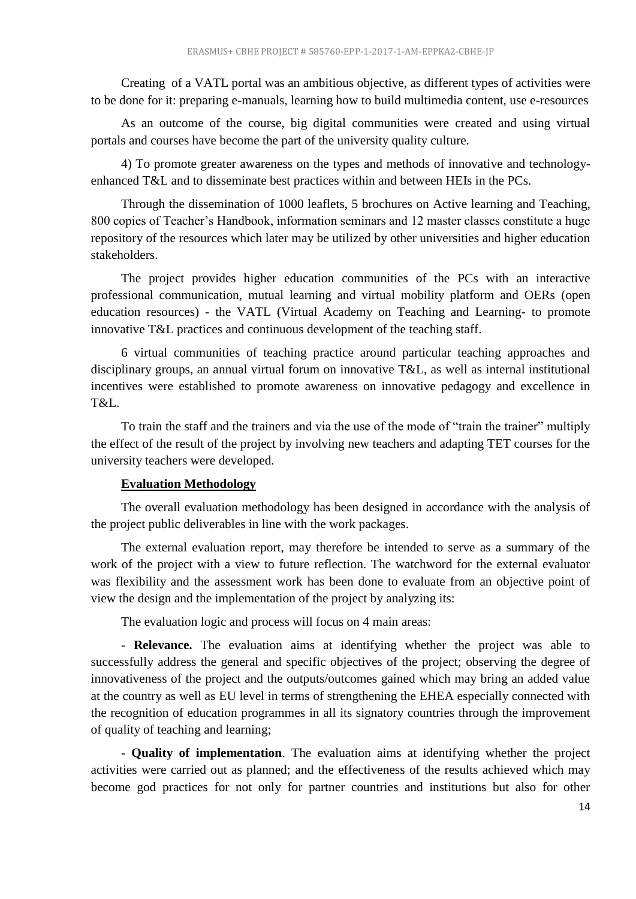Creating of a VATL portal was an ambitious objective, as different types of activities were to be done for it: preparing e-manuals, learning how to build multimedia content, use e-resources

As an outcome of the course, big digital communities were created and using virtual portals and courses have become the part of the university quality culture.

4) To promote greater awareness on the types and methods of innovative and technologyenhanced T&L and to disseminate best practices within and between HEIs in the PCs.

Through the dissemination of 1000 leaflets, 5 brochures on Active learning and Teaching, 800 copies of Teacher's Handbook, information seminars and 12 master classes constitute a huge repository of the resources which later may be utilized by other universities and higher education stakeholders.

The project provides higher education communities of the PCs with an interactive professional communication, mutual learning and virtual mobility platform and OERs (open education resources) - the VATL (Virtual Academy on Teaching and Learning- to promote innovative T&L practices and continuous development of the teaching staff.

6 virtual communities of teaching practice around particular teaching approaches and disciplinary groups, an annual virtual forum on innovative T&L, as well as internal institutional incentives were established to promote awareness on innovative pedagogy and excellence in T&L.

To train the staff and the trainers and via the use of the mode of "train the trainer" multiply the effect of the result of the project by involving new teachers and adapting TET courses for the university teachers were developed.

#### **Evaluation Methodology**

<span id="page-13-0"></span>The overall evaluation methodology has been designed in accordance with the analysis of the project public deliverables in line with the work packages.

The external evaluation report, may therefore be intended to serve as a summary of the work of the project with a view to future reflection. The watchword for the external evaluator was flexibility and the assessment work has been done to evaluate from an objective point of view the design and the implementation of the project by analyzing its:

The evaluation logic and process will focus on 4 main areas:

- **Relevance.** The evaluation aims at identifying whether the project was able to successfully address the general and specific objectives of the project; observing the degree of innovativeness of the project and the outputs/outcomes gained which may bring an added value at the country as well as EU level in terms of strengthening the EHEA especially connected with the recognition of education programmes in all its signatory countries through the improvement of quality of teaching and learning;

- **Quality of implementation**. The evaluation aims at identifying whether the project activities were carried out as planned; and the effectiveness of the results achieved which may become god practices for not only for partner countries and institutions but also for other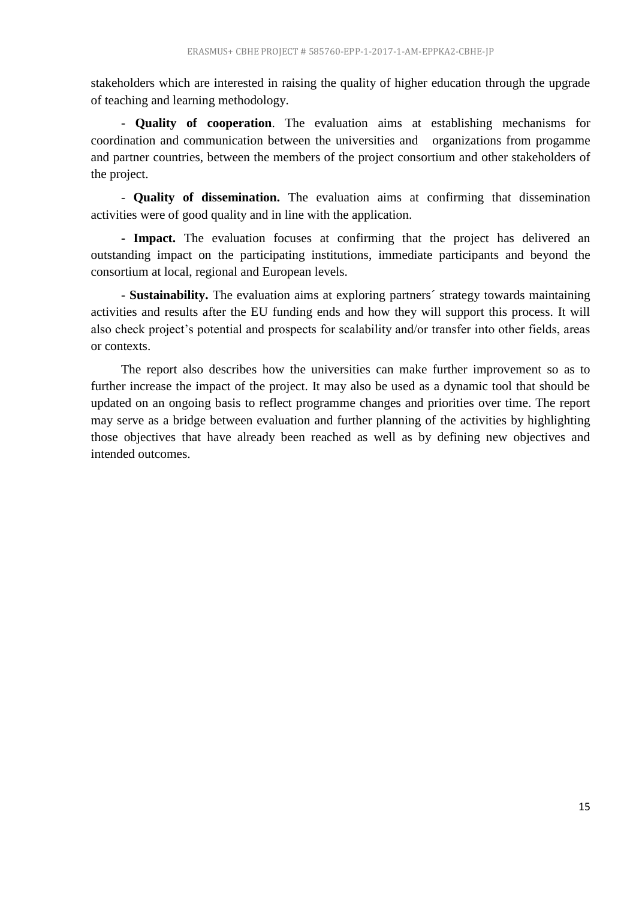stakeholders which are interested in raising the quality of higher education through the upgrade of teaching and learning methodology.

- **Quality of cooperation**. The evaluation aims at establishing mechanisms for coordination and communication between the universities and organizations from progamme and partner countries, between the members of the project consortium and other stakeholders of the project.

- **Quality of dissemination.** The evaluation aims at confirming that dissemination activities were of good quality and in line with the application.

**- Impact.** The evaluation focuses at confirming that the project has delivered an outstanding impact on the participating institutions, immediate participants and beyond the consortium at local, regional and European levels.

- **Sustainability.** The evaluation aims at exploring partners´ strategy towards maintaining activities and results after the EU funding ends and how they will support this process. It will also check project's potential and prospects for scalability and/or transfer into other fields, areas or contexts.

The report also describes how the universities can make further improvement so as to further increase the impact of the project. It may also be used as a dynamic tool that should be updated on an ongoing basis to reflect programme changes and priorities over time. The report may serve as a bridge between evaluation and further planning of the activities by highlighting those objectives that have already been reached as well as by defining new objectives and intended outcomes.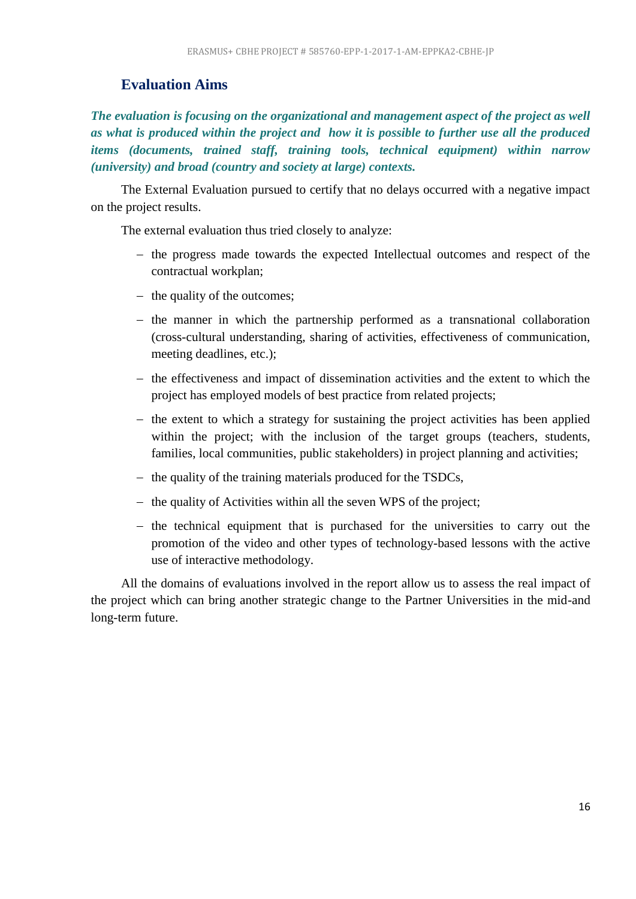# <span id="page-15-0"></span>**Evaluation Aims**

*The evaluation is focusing on the organizational and management aspect of the project as well as what is produced within the project and how it is possible to further use all the produced items (documents, trained staff, training tools, technical equipment) within narrow (university) and broad (country and society at large) contexts.*

The External Evaluation pursued to certify that no delays occurred with a negative impact on the project results.

The external evaluation thus tried closely to analyze:

- the progress made towards the expected Intellectual outcomes and respect of the contractual workplan;
- the quality of the outcomes;
- $-$  the manner in which the partnership performed as a transnational collaboration (cross-cultural understanding, sharing of activities, effectiveness of communication, meeting deadlines, etc.);
- $-$  the effectiveness and impact of dissemination activities and the extent to which the project has employed models of best practice from related projects;
- $-$  the extent to which a strategy for sustaining the project activities has been applied within the project; with the inclusion of the target groups (teachers, students, families, local communities, public stakeholders) in project planning and activities;
- $-$  the quality of the training materials produced for the TSDCs,
- $-$  the quality of Activities within all the seven WPS of the project;
- $-$  the technical equipment that is purchased for the universities to carry out the promotion of the video and other types of technology-based lessons with the active use of interactive methodology.

All the domains of evaluations involved in the report allow us to assess the real impact of the project which can bring another strategic change to the Partner Universities in the mid-and long-term future.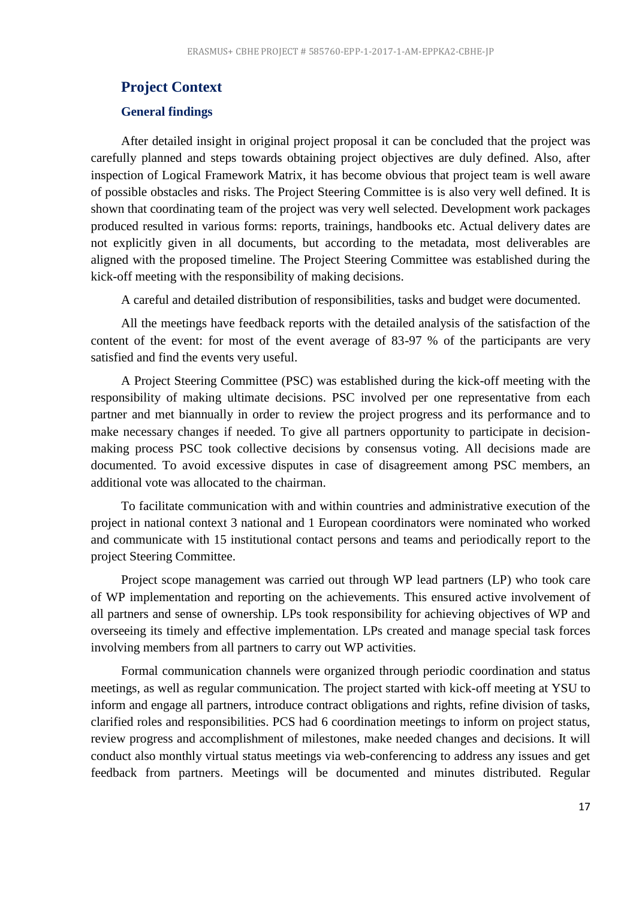#### <span id="page-16-0"></span>**Project Context**

#### <span id="page-16-1"></span>**General findings**

After detailed insight in original project proposal it can be concluded that the project was carefully planned and steps towards obtaining project objectives are duly defined. Also, after inspection of Logical Framework Matrix, it has become obvious that project team is well aware of possible obstacles and risks. The Project Steering Committee is is also very well defined. It is shown that coordinating team of the project was very well selected. Development work packages produced resulted in various forms: reports, trainings, handbooks etc. Actual delivery dates are not explicitly given in all documents, but according to the metadata, most deliverables are aligned with the proposed timeline. The Project Steering Committee was established during the kick-off meeting with the responsibility of making decisions.

A careful and detailed distribution of responsibilities, tasks and budget were documented.

All the meetings have feedback reports with the detailed analysis of the satisfaction of the content of the event: for most of the event average of 83-97 % of the participants are very satisfied and find the events very useful.

A Project Steering Committee (PSC) was established during the kick-off meeting with the responsibility of making ultimate decisions. PSC involved per one representative from each partner and met biannually in order to review the project progress and its performance and to make necessary changes if needed. To give all partners opportunity to participate in decisionmaking process PSC took collective decisions by consensus voting. All decisions made are documented. To avoid excessive disputes in case of disagreement among PSC members, an additional vote was allocated to the chairman.

To facilitate communication with and within countries and administrative execution of the project in national context 3 national and 1 European coordinators were nominated who worked and communicate with 15 institutional contact persons and teams and periodically report to the project Steering Committee.

Project scope management was carried out through WP lead partners (LP) who took care of WP implementation and reporting on the achievements. This ensured active involvement of all partners and sense of ownership. LPs took responsibility for achieving objectives of WP and overseeing its timely and effective implementation. LPs created and manage special task forces involving members from all partners to carry out WP activities.

Formal communication channels were organized through periodic coordination and status meetings, as well as regular communication. The project started with kick-off meeting at YSU to inform and engage all partners, introduce contract obligations and rights, refine division of tasks, clarified roles and responsibilities. PCS had 6 coordination meetings to inform on project status, review progress and accomplishment of milestones, make needed changes and decisions. It will conduct also monthly virtual status meetings via web-conferencing to address any issues and get feedback from partners. Meetings will be documented and minutes distributed. Regular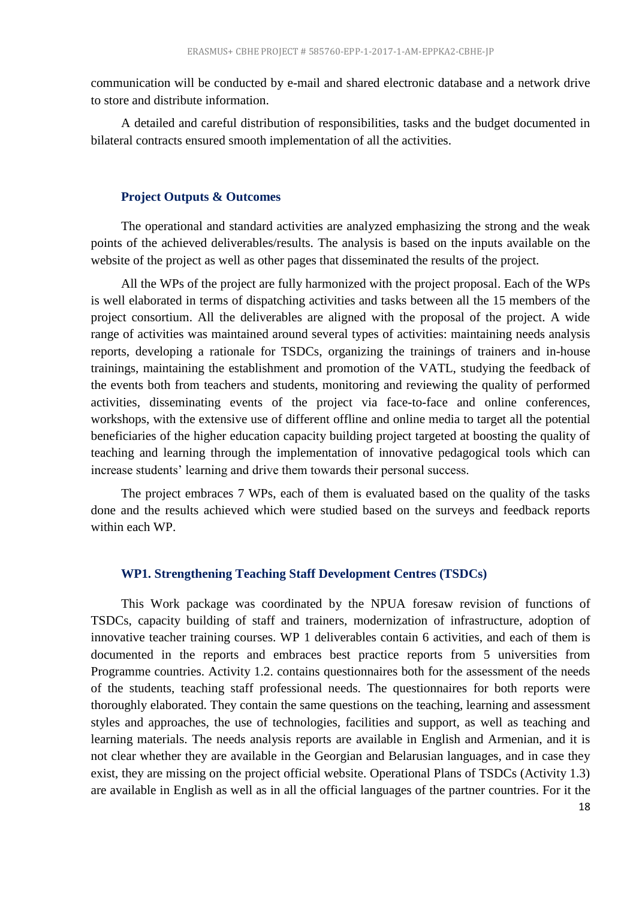communication will be conducted by e-mail and shared electronic database and a network drive to store and distribute information.

A detailed and careful distribution of responsibilities, tasks and the budget documented in bilateral contracts ensured smooth implementation of all the activities.

#### **Project Outputs & Outcomes**

<span id="page-17-0"></span>The operational and standard activities are analyzed emphasizing the strong and the weak points of the achieved deliverables/results. The analysis is based on the inputs available on the website of the project as well as other pages that disseminated the results of the project.

All the WPs of the project are fully harmonized with the project proposal. Each of the WPs is well elaborated in terms of dispatching activities and tasks between all the 15 members of the project consortium. All the deliverables are aligned with the proposal of the project. A wide range of activities was maintained around several types of activities: maintaining needs analysis reports, developing a rationale for TSDCs, organizing the trainings of trainers and in-house trainings, maintaining the establishment and promotion of the VATL, studying the feedback of the events both from teachers and students, monitoring and reviewing the quality of performed activities, disseminating events of the project via face-to-face and online conferences, workshops, with the extensive use of different offline and online media to target all the potential beneficiaries of the higher education capacity building project targeted at boosting the quality of teaching and learning through the implementation of innovative pedagogical tools which can increase students' learning and drive them towards their personal success.

The project embraces 7 WPs, each of them is evaluated based on the quality of the tasks done and the results achieved which were studied based on the surveys and feedback reports within each WP.

#### **WP1. Strengthening Teaching Staff Development Centres (TSDCs)**

<span id="page-17-1"></span>This Work package was coordinated by the NPUA foresaw revision of functions of TSDCs, capacity building of staff and trainers, modernization of infrastructure, adoption of innovative teacher training courses. WP 1 deliverables contain 6 activities, and each of them is documented in the reports and embraces best practice reports from 5 universities from Programme countries. Activity 1.2. contains questionnaires both for the assessment of the needs of the students, teaching staff professional needs. The questionnaires for both reports were thoroughly elaborated. They contain the same questions on the teaching, learning and assessment styles and approaches, the use of technologies, facilities and support, as well as teaching and learning materials. The needs analysis reports are available in English and Armenian, and it is not clear whether they are available in the Georgian and Belarusian languages, and in case they exist, they are missing on the project official website. Operational Plans of TSDCs (Activity 1.3) are available in English as well as in all the official languages of the partner countries. For it the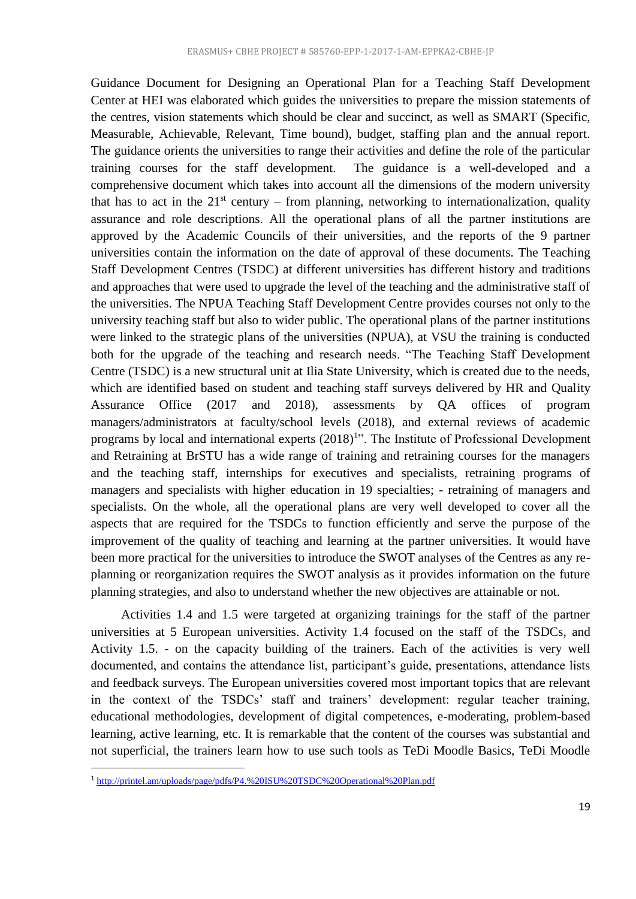Guidance Document for Designing an Operational Plan for a Teaching Staff Development Center at HEI was elaborated which guides the universities to prepare the mission statements of the centres, vision statements which should be clear and succinct, as well as SMART (Specific, Measurable, Achievable, Relevant, Time bound), budget, staffing plan and the annual report. The guidance orients the universities to range their activities and define the role of the particular training courses for the staff development. The guidance is a well-developed and a comprehensive document which takes into account all the dimensions of the modern university that has to act in the  $21<sup>st</sup>$  century – from planning, networking to internationalization, quality assurance and role descriptions. All the operational plans of all the partner institutions are approved by the Academic Councils of their universities, and the reports of the 9 partner universities contain the information on the date of approval of these documents. The Teaching Staff Development Centres (TSDC) at different universities has different history and traditions and approaches that were used to upgrade the level of the teaching and the administrative staff of the universities. The NPUA Teaching Staff Development Centre provides courses not only to the university teaching staff but also to wider public. The operational plans of the partner institutions were linked to the strategic plans of the universities (NPUA), at VSU the training is conducted both for the upgrade of the teaching and research needs. "The Teaching Staff Development Centre (TSDC) is a new structural unit at Ilia State University, which is created due to the needs, which are identified based on student and teaching staff surveys delivered by HR and Quality Assurance Office (2017 and 2018), assessments by QA offices of program managers/administrators at faculty/school levels (2018), and external reviews of academic programs by local and international experts  $(2018)^{1}$ ". The Institute of Professional Development and Retraining at BrSTU has a wide range of training and retraining courses for the managers and the teaching staff, internships for executives and specialists, retraining programs of managers and specialists with higher education in 19 specialties; - retraining of managers and specialists. On the whole, all the operational plans are very well developed to cover all the aspects that are required for the TSDCs to function efficiently and serve the purpose of the improvement of the quality of teaching and learning at the partner universities. It would have been more practical for the universities to introduce the SWOT analyses of the Centres as any replanning or reorganization requires the SWOT analysis as it provides information on the future planning strategies, and also to understand whether the new objectives are attainable or not.

Activities 1.4 and 1.5 were targeted at organizing trainings for the staff of the partner universities at 5 European universities. Activity 1.4 focused on the staff of the TSDCs, and Activity 1.5. - on the capacity building of the trainers. Each of the activities is very well documented, and contains the attendance list, participant's guide, presentations, attendance lists and feedback surveys. The European universities covered most important topics that are relevant in the context of the TSDCs' staff and trainers' development: regular teacher training, educational methodologies, development of digital competences, e-moderating, problem-based learning, active learning, etc. It is remarkable that the content of the courses was substantial and not superficial, the trainers learn how to use such tools as TeDi Moodle Basics, TeDi Moodle

**.** 

<sup>&</sup>lt;sup>1</sup><http://printel.am/uploads/page/pdfs/P4.%20ISU%20TSDC%20Operational%20Plan.pdf>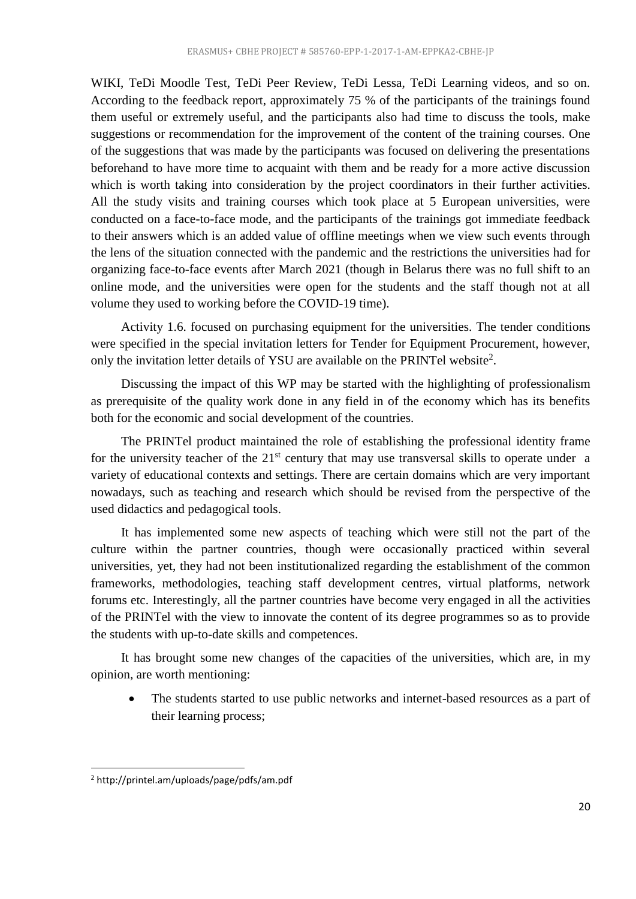WIKI, TeDi Moodle Test, TeDi Peer Review, TeDi Lessa, TeDi Learning videos, and so on. According to the feedback report, approximately 75 % of the participants of the trainings found them useful or extremely useful, and the participants also had time to discuss the tools, make suggestions or recommendation for the improvement of the content of the training courses. One of the suggestions that was made by the participants was focused on delivering the presentations beforehand to have more time to acquaint with them and be ready for a more active discussion which is worth taking into consideration by the project coordinators in their further activities. All the study visits and training courses which took place at 5 European universities, were conducted on a face-to-face mode, and the participants of the trainings got immediate feedback to their answers which is an added value of offline meetings when we view such events through the lens of the situation connected with the pandemic and the restrictions the universities had for organizing face-to-face events after March 2021 (though in Belarus there was no full shift to an online mode, and the universities were open for the students and the staff though not at all volume they used to working before the COVID-19 time).

Activity 1.6. focused on purchasing equipment for the universities. The tender conditions were specified in the special invitation letters for Tender for Equipment Procurement, however, only the invitation letter details of YSU are available on the PRINTel website<sup>2</sup>.

Discussing the impact of this WP may be started with the highlighting of professionalism as prerequisite of the quality work done in any field in of the economy which has its benefits both for the economic and social development of the countries.

The PRINTel product maintained the role of establishing the professional identity frame for the university teacher of the  $21<sup>st</sup>$  century that may use transversal skills to operate under a variety of educational contexts and settings. There are certain domains which are very important nowadays, such as teaching and research which should be revised from the perspective of the used didactics and pedagogical tools.

It has implemented some new aspects of teaching which were still not the part of the culture within the partner countries, though were occasionally practiced within several universities, yet, they had not been institutionalized regarding the establishment of the common frameworks, methodologies, teaching staff development centres, virtual platforms, network forums etc. Interestingly, all the partner countries have become very engaged in all the activities of the PRINTel with the view to innovate the content of its degree programmes so as to provide the students with up-to-date skills and competences.

It has brought some new changes of the capacities of the universities, which are, in my opinion, are worth mentioning:

 The students started to use public networks and internet-based resources as a part of their learning process;

1

<sup>2</sup> http://printel.am/uploads/page/pdfs/am.pdf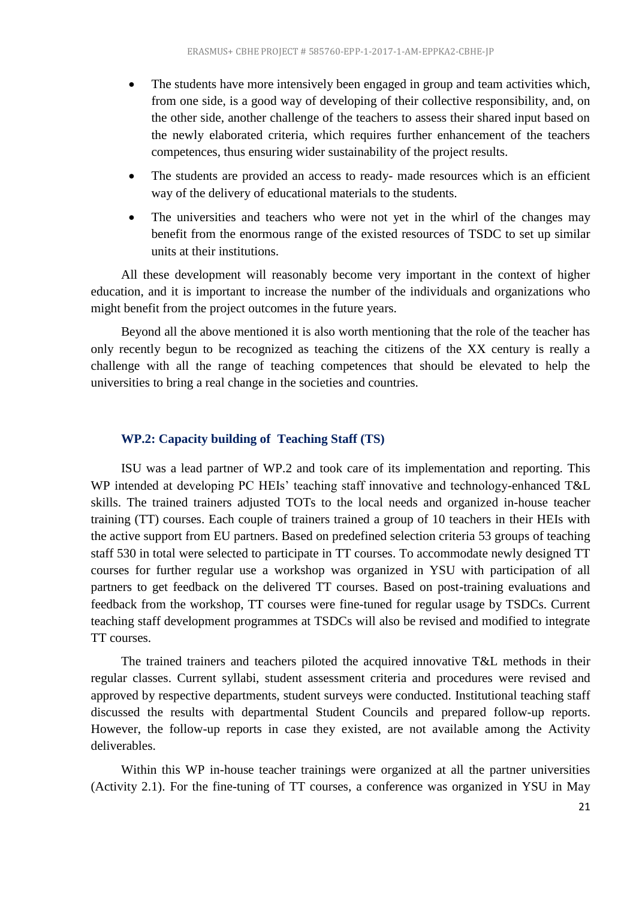- The students have more intensively been engaged in group and team activities which, from one side, is a good way of developing of their collective responsibility, and, on the other side, another challenge of the teachers to assess their shared input based on the newly elaborated criteria, which requires further enhancement of the teachers competences, thus ensuring wider sustainability of the project results.
- The students are provided an access to ready- made resources which is an efficient way of the delivery of educational materials to the students.
- The universities and teachers who were not yet in the whirl of the changes may benefit from the enormous range of the existed resources of TSDC to set up similar units at their institutions.

All these development will reasonably become very important in the context of higher education, and it is important to increase the number of the individuals and organizations who might benefit from the project outcomes in the future years.

Beyond all the above mentioned it is also worth mentioning that the role of the teacher has only recently begun to be recognized as teaching the citizens of the XX century is really a challenge with all the range of teaching competences that should be elevated to help the universities to bring a real change in the societies and countries.

#### **WP.2: Capacity building of Teaching Staff (TS)**

<span id="page-20-0"></span>ISU was a lead partner of WP.2 and took care of its implementation and reporting. This WP intended at developing PC HEIs' teaching staff innovative and technology-enhanced T&L skills. The trained trainers adjusted TOTs to the local needs and organized in-house teacher training (TT) courses. Each couple of trainers trained a group of 10 teachers in their HEIs with the active support from EU partners. Based on predefined selection criteria 53 groups of teaching staff 530 in total were selected to participate in TT courses. To accommodate newly designed TT courses for further regular use a workshop was organized in YSU with participation of all partners to get feedback on the delivered TT courses. Based on post-training evaluations and feedback from the workshop, TT courses were fine-tuned for regular usage by TSDCs. Current teaching staff development programmes at TSDCs will also be revised and modified to integrate TT courses.

The trained trainers and teachers piloted the acquired innovative T&L methods in their regular classes. Current syllabi, student assessment criteria and procedures were revised and approved by respective departments, student surveys were conducted. Institutional teaching staff discussed the results with departmental Student Councils and prepared follow-up reports. However, the follow-up reports in case they existed, are not available among the Activity deliverables.

Within this WP in-house teacher trainings were organized at all the partner universities (Activity 2.1). For the fine-tuning of TT courses, a conference was organized in YSU in May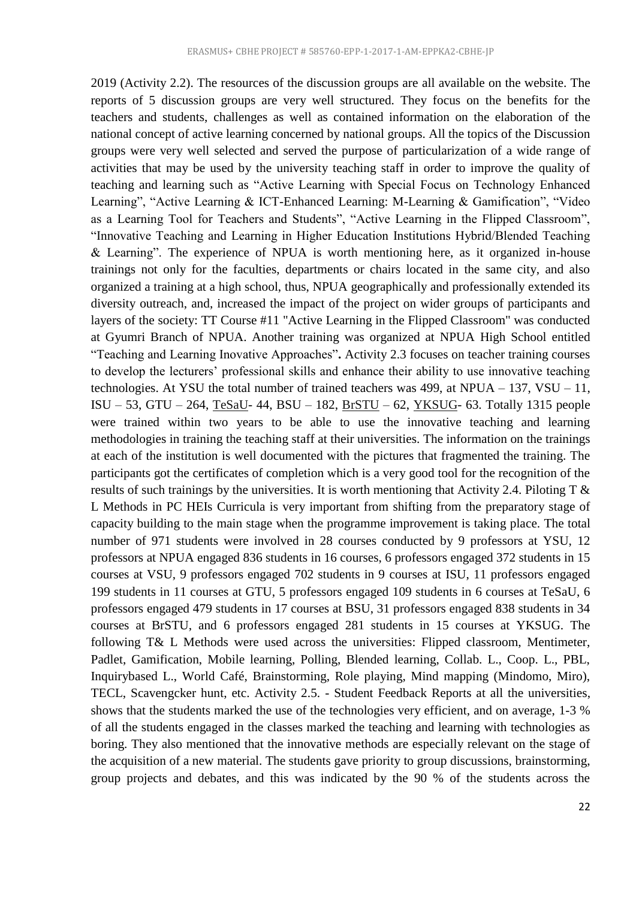2019 (Activity 2.2). The resources of the discussion groups are all available on the website. The reports of 5 discussion groups are very well structured. They focus on the benefits for the teachers and students, challenges as well as contained information on the elaboration of the national concept of active learning concerned by national groups. All the topics of the Discussion groups were very well selected and served the purpose of particularization of a wide range of activities that may be used by the university teaching staff in order to improve the quality of teaching and learning such as "Active Learning with Special Focus on Technology Enhanced Learning", "Active Learning & ICT-Enhanced Learning: M-Learning & Gamification", "Video as a Learning Tool for Teachers and Students", "Active Learning in the Flipped Classroom", "Innovative Teaching and Learning in Higher Education Institutions Hybrid/Blended Teaching & Learning". The experience of NPUA is worth mentioning here, as it organized in-house trainings not only for the faculties, departments or chairs located in the same city, and also organized a training at a high school, thus, NPUA geographically and professionally extended its diversity outreach, and, increased the impact of the project on wider groups of participants and layers of the society: TT Course #11 "Active Learning in the Flipped Classroom" was conducted at Gyumri Branch of NPUA. Another training was organized at NPUA High School entitled "Teaching and Learning Inovative Approaches"**.** Activity 2.3 focuses on teacher training courses to develop the lecturers' professional skills and enhance their ability to use innovative teaching technologies. At YSU the total number of trained teachers was 499, at NPUA – 137, VSU – 11, ISU – 53, GTU – 264, [TeSaU-](http://printel.am/uploads/page/pdfs/Adoption%20of%20Teacher%20Training%20Courses%20at%20Iakob%20Gogebashvili%20Telavi%20State%20University.pdf) 44, BSU – 182, [BrSTU](http://printel.am/uploads/page/pdfs/Adoption%20of%20Teacher%20Training%20reguar%20courses%20at%20BrSTU.pdf) – 62, [YKSUG-](http://printel.am/uploads/page/pdfs/Adoption%20of%20TT%20regular%20courses%20at%20Yanka%20Kupala%20State%20University%20of%20Grodno.pdf) 63. Totally 1315 people were trained within two years to be able to use the innovative teaching and learning methodologies in training the teaching staff at their universities. The information on the trainings at each of the institution is well documented with the pictures that fragmented the training. The participants got the certificates of completion which is a very good tool for the recognition of the results of such trainings by the universities. It is worth mentioning that Activity 2.4. Piloting T & L Methods in PC HEIs Curricula is very important from shifting from the preparatory stage of capacity building to the main stage when the programme improvement is taking place. The total number of 971 students were involved in 28 courses conducted by 9 professors at YSU, 12 professors at NPUA engaged 836 students in 16 courses, 6 professors engaged 372 students in 15 courses at VSU, 9 professors engaged 702 students in 9 courses at ISU, 11 professors engaged 199 students in 11 courses at GTU, 5 professors engaged 109 students in 6 courses at TeSaU, 6 professors engaged 479 students in 17 courses at BSU, 31 professors engaged 838 students in 34 courses at BrSTU, and 6 professors engaged 281 students in 15 courses at YKSUG. The following T& L Methods were used across the universities: Flipped classroom, Mentimeter, Padlet, Gamification, Mobile learning, Polling, Blended learning, Collab. L., Coop. L., PBL, Inquirybased L., World Café, Brainstorming, Role playing, Mind mapping (Mindomo, Miro), TECL, Scavengcker hunt, etc. Activity 2.5. - Student Feedback Reports at all the universities, shows that the students marked the use of the technologies very efficient, and on average, 1-3 % of all the students engaged in the classes marked the teaching and learning with technologies as boring. They also mentioned that the innovative methods are especially relevant on the stage of the acquisition of a new material. The students gave priority to group discussions, brainstorming, group projects and debates, and this was indicated by the 90 % of the students across the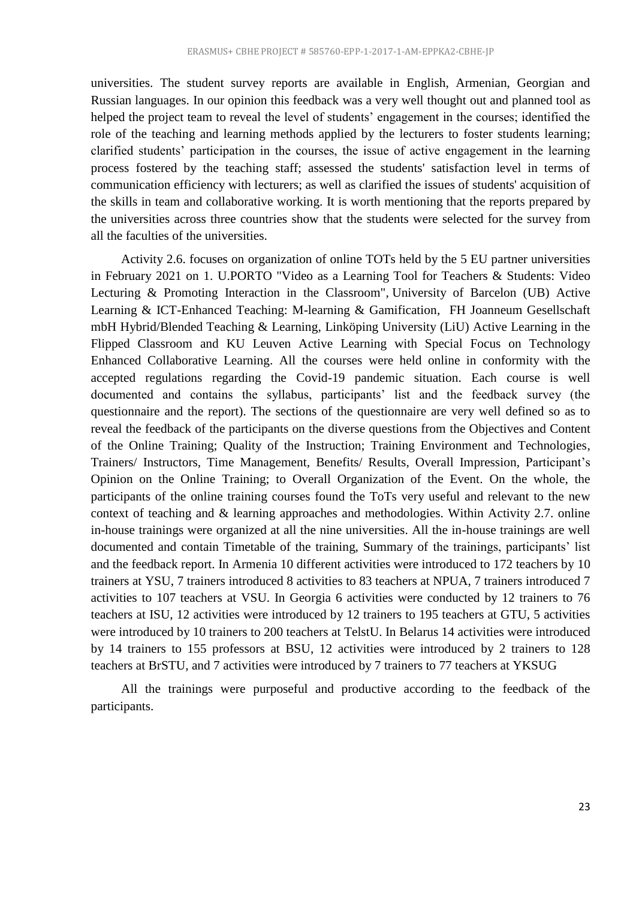universities. The student survey reports are available in English, Armenian, Georgian and Russian languages. In our opinion this feedback was a very well thought out and planned tool as helped the project team to reveal the level of students' engagement in the courses; identified the role of the teaching and learning methods applied by the lecturers to foster students learning; clarified students' participation in the courses, the issue of active engagement in the learning process fostered by the teaching staff; assessed the students' satisfaction level in terms of communication efficiency with lecturers; as well as clarified the issues of students' acquisition of the skills in team and collaborative working. It is worth mentioning that the reports prepared by the universities across three countries show that the students were selected for the survey from all the faculties of the universities.

Activity 2.6. focuses on organization of online TOTs held by the 5 EU partner universities in February 2021 on [1. U.PORTO "Video as a Learning Tool for Teachers & Students: Video](http://printel.am/category/news/online-tot-course-in-u-porto)  [Lecturing & Promoting Interaction in the Classroom",](http://printel.am/category/news/online-tot-course-in-u-porto) [University of Barcelon \(UB\) Active](http://printel.am/category/news/online-tot-course-of-universitat-de-barc)  [Learning & ICT-Enhanced Teaching: M-learning & Gamification,](http://printel.am/category/news/online-tot-course-of-universitat-de-barc) [FH Joanneum Gesellschaft](http://printel.am/category/news/online-tot-course-of-fh-joanneum-gesells)  [mbH Hybrid/Blended Teaching & Learning,](http://printel.am/category/news/online-tot-course-of-fh-joanneum-gesells) [Linköping University \(LiU\) Active Learning in the](http://printel.am/category/news/online-tot-course-of-link-ping-universit)  [Flipped Classroom](http://printel.am/category/news/online-tot-course-of-link-ping-universit) and [KU Leuven Active Learning with Special Focus on Technology](http://printel.am/category/news/online-tot-course-in-katholieke-universi)  [Enhanced Collaborative Learning.](http://printel.am/category/news/online-tot-course-in-katholieke-universi) All the courses were held online in conformity with the accepted regulations regarding the Covid-19 pandemic situation. Each course is well documented and contains the syllabus, participants' list and the feedback survey (the questionnaire and the report). The sections of the questionnaire are very well defined so as to reveal the feedback of the participants on the diverse questions from the Objectives and Content of the Online Training; Quality of the Instruction; Training Environment and Technologies, Trainers/ Instructors, Time Management, Benefits/ Results, Overall Impression, Participant's Opinion on the Online Training; to Overall Organization of the Event. On the whole, the participants of the online training courses found the ToTs very useful and relevant to the new context of teaching and & learning approaches and methodologies. Within Activity 2.7. online in-house trainings were organized at all the nine universities. All the in-house trainings are well documented and contain Timetable of the training, Summary of the trainings, participants' list and the feedback report. In Armenia 10 different activities were introduced to 172 teachers by 10 trainers at YSU, 7 trainers introduced 8 activities to 83 teachers at NPUA, 7 trainers introduced 7 activities to 107 teachers at VSU. In Georgia 6 activities were conducted by 12 trainers to 76 teachers at ISU, 12 activities were introduced by 12 trainers to 195 teachers at GTU, 5 activities were introduced by 10 trainers to 200 teachers at TelstU. In Belarus 14 activities were introduced by 14 trainers to 155 professors at BSU, 12 activities were introduced by 2 trainers to 128 teachers at BrSTU, and 7 activities were introduced by 7 trainers to 77 teachers at YKSUG

All the trainings were purposeful and productive according to the feedback of the participants.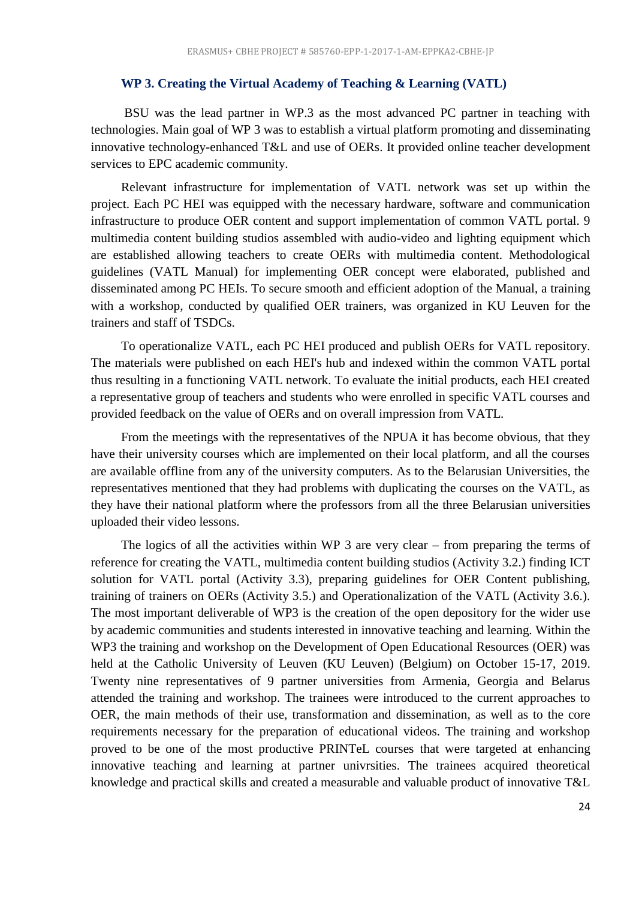#### **WP 3. Creating the Virtual Academy of Teaching & Learning (VATL)**

<span id="page-23-0"></span>BSU was the lead partner in WP.3 as the most advanced PC partner in teaching with technologies. Main goal of WP 3 was to establish a virtual platform promoting and disseminating innovative technology-enhanced T&L and use of OERs. It provided online teacher development services to EPC academic community.

Relevant infrastructure for implementation of VATL network was set up within the project. Each PC HEI was equipped with the necessary hardware, software and communication infrastructure to produce OER content and support implementation of common VATL portal. 9 multimedia content building studios assembled with audio-video and lighting equipment which are established allowing teachers to create OERs with multimedia content. Methodological guidelines (VATL Manual) for implementing OER concept were elaborated, published and disseminated among PC HEIs. To secure smooth and efficient adoption of the Manual, a training with a workshop, conducted by qualified OER trainers, was organized in KU Leuven for the trainers and staff of TSDCs.

To operationalize VATL, each PC HEI produced and publish OERs for VATL repository. The materials were published on each HEI's hub and indexed within the common VATL portal thus resulting in a functioning VATL network. To evaluate the initial products, each HEI created a representative group of teachers and students who were enrolled in specific VATL courses and provided feedback on the value of OERs and on overall impression from VATL.

From the meetings with the representatives of the NPUA it has become obvious, that they have their university courses which are implemented on their local platform, and all the courses are available offline from any of the university computers. As to the Belarusian Universities, the representatives mentioned that they had problems with duplicating the courses on the VATL, as they have their national platform where the professors from all the three Belarusian universities uploaded their video lessons.

The logics of all the activities within WP 3 are very clear – from preparing the terms of reference for creating the VATL, multimedia content building studios (Activity 3.2.) finding ICT solution for VATL portal (Activity 3.3), preparing guidelines for OER Content publishing, training of trainers on OERs (Activity 3.5.) and Operationalization of the VATL (Activity 3.6.). The most important deliverable of WP3 is the creation of the open depository for the wider use by academic communities and students interested in innovative teaching and learning. Within the WP3 the training and workshop on the Development of Open Educational Resources (OER) was held at the Catholic University of Leuven (KU Leuven) (Belgium) on October 15-17, 2019. Twenty nine representatives of 9 partner universities from Armenia, Georgia and Belarus attended the training and workshop. The trainees were introduced to the current approaches to OER, the main methods of their use, transformation and dissemination, as well as to the core requirements necessary for the preparation of educational videos. The training and workshop proved to be one of the most productive PRINTeL courses that were targeted at enhancing innovative teaching and learning at partner univrsities. The trainees acquired theoretical knowledge and practical skills and created a measurable and valuable product of innovative T&L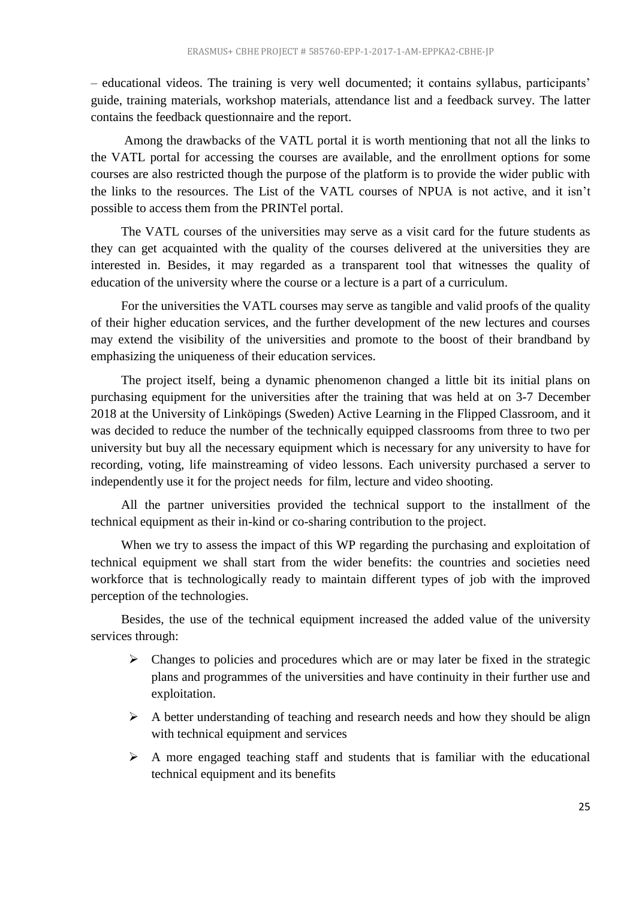– educational videos. The training is very well documented; it contains syllabus, participants' guide, training materials, workshop materials, attendance list and a feedback survey. The latter contains the feedback questionnaire and the report.

Among the drawbacks of the VATL portal it is worth mentioning that not all the links to the VATL portal for accessing the courses are available, and the enrollment options for some courses are also restricted though the purpose of the platform is to provide the wider public with the links to the resources. The List of the VATL courses of NPUA is not active, and it isn't possible to access them from the PRINTel portal.

The VATL courses of the universities may serve as a visit card for the future students as they can get acquainted with the quality of the courses delivered at the universities they are interested in. Besides, it may regarded as a transparent tool that witnesses the quality of education of the university where the course or a lecture is a part of a curriculum.

For the universities the VATL courses may serve as tangible and valid proofs of the quality of their higher education services, and the further development of the new lectures and courses may extend the visibility of the universities and promote to the boost of their brandband by emphasizing the uniqueness of their education services.

The project itself, being a dynamic phenomenon changed a little bit its initial plans on purchasing equipment for the universities after the training that was held at on 3-7 December 2018 at the University of Linköpings (Sweden) Active Learning in the Flipped Classroom, and it was decided to reduce the number of the technically equipped classrooms from three to two per university but buy all the necessary equipment which is necessary for any university to have for recording, voting, life mainstreaming of video lessons. Each university purchased a server to independently use it for the project needs for film, lecture and video shooting.

All the partner universities provided the technical support to the installment of the technical equipment as their in-kind or co-sharing contribution to the project.

When we try to assess the impact of this WP regarding the purchasing and exploitation of technical equipment we shall start from the wider benefits: the countries and societies need workforce that is technologically ready to maintain different types of job with the improved perception of the technologies.

Besides, the use of the technical equipment increased the added value of the university services through:

- $\triangleright$  Changes to policies and procedures which are or may later be fixed in the strategic plans and programmes of the universities and have continuity in their further use and exploitation.
- $\triangleright$  A better understanding of teaching and research needs and how they should be align with technical equipment and services
- $\triangleright$  A more engaged teaching staff and students that is familiar with the educational technical equipment and its benefits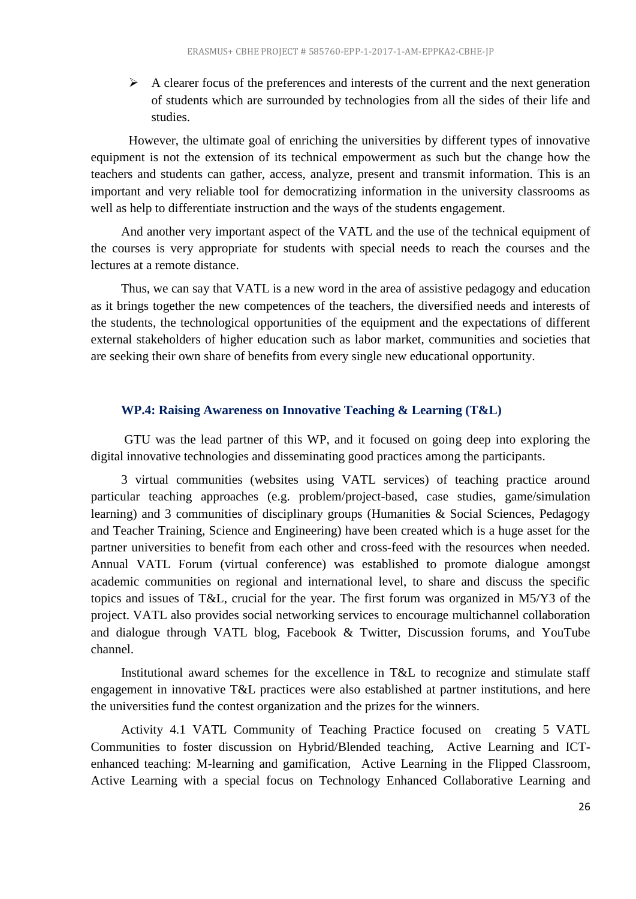$\triangleright$  A clearer focus of the preferences and interests of the current and the next generation of students which are surrounded by technologies from all the sides of their life and studies.

However, the ultimate goal of enriching the universities by different types of innovative equipment is not the extension of its technical empowerment as such but the change how the teachers and students can gather, access, analyze, present and transmit information. This is an important and very reliable tool for democratizing information in the university classrooms as well as help to differentiate instruction and the ways of the students engagement.

And another very important aspect of the VATL and the use of the technical equipment of the courses is very appropriate for students with special needs to reach the courses and the lectures at a remote distance.

Thus, we can say that VATL is a new word in the area of assistive pedagogy and education as it brings together the new competences of the teachers, the diversified needs and interests of the students, the technological opportunities of the equipment and the expectations of different external stakeholders of higher education such as labor market, communities and societies that are seeking their own share of benefits from every single new educational opportunity.

#### **WP.4: Raising Awareness on Innovative Teaching & Learning (T&L)**

<span id="page-25-0"></span>GTU was the lead partner of this WP, and it focused on going deep into exploring the digital innovative technologies and disseminating good practices among the participants.

3 virtual communities (websites using VATL services) of teaching practice around particular teaching approaches (e.g. problem/project-based, case studies, game/simulation learning) and 3 communities of disciplinary groups (Humanities & Social Sciences, Pedagogy and Teacher Training, Science and Engineering) have been created which is a huge asset for the partner universities to benefit from each other and cross-feed with the resources when needed. Annual VATL Forum (virtual conference) was established to promote dialogue amongst academic communities on regional and international level, to share and discuss the specific topics and issues of T&L, crucial for the year. The first forum was organized in M5/Y3 of the project. VATL also provides social networking services to encourage multichannel collaboration and dialogue through VATL blog, Facebook & Twitter, Discussion forums, and YouTube channel.

Institutional award schemes for the excellence in T&L to recognize and stimulate staff engagement in innovative T&L practices were also established at partner institutions, and here the universities fund the contest organization and the prizes for the winners.

Activity 4.1 VATL Community of Teaching Practice focused on creating 5 VATL Communities to foster discussion on [Hybrid/Blended teaching,](https://vatl.ysu.am/moodle/mod/forum/view.php?id=218) [Active Learning and ICT](https://vatl.ysu.am/moodle/mod/forum/view.php?id=3)[enhanced teaching: M-learning and gamification,](https://vatl.ysu.am/moodle/mod/forum/view.php?id=3) [Active Learning in the Flipped Classroom,](https://vatl.ysu.am/moodle/mod/forum/view.php?id=214) [Active Learning with a special focus on Technology Enhanced Collaborative Learning](https://vatl.ysu.am/moodle/mod/forum/view.php?id=215) and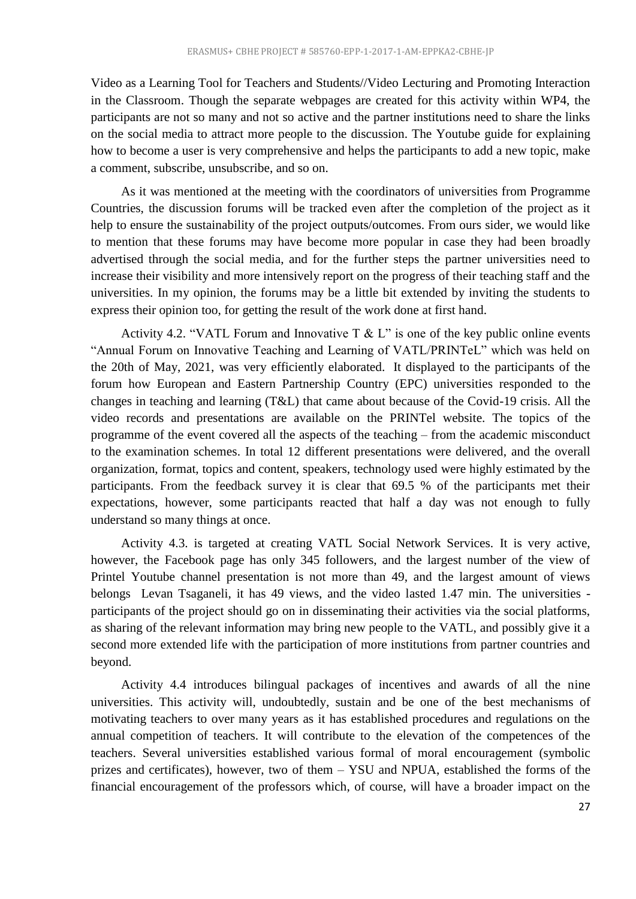[Video as a Learning Tool for Teachers and Students//Video Lecturing and Promoting Interaction](https://vatl.ysu.am/moodle/mod/forum/view.php?id=217)  [in the Classroom.](https://vatl.ysu.am/moodle/mod/forum/view.php?id=217) Though the separate webpages are created for this activity within WP4, the participants are not so many and not so active and the partner institutions need to share the links on the social media to attract more people to the discussion. The Youtube guide for explaining how to become a user is very comprehensive and helps the participants to add a new topic, make a comment, subscribe, unsubscribe, and so on.

As it was mentioned at the meeting with the coordinators of universities from Programme Countries, the discussion forums will be tracked even after the completion of the project as it help to ensure the sustainability of the project outputs/outcomes. From ours sider, we would like to mention that these forums may have become more popular in case they had been broadly advertised through the social media, and for the further steps the partner universities need to increase their visibility and more intensively report on the progress of their teaching staff and the universities. In my opinion, the forums may be a little bit extended by inviting the students to express their opinion too, for getting the result of the work done at first hand.

Activity 4.2. "VATL Forum and Innovative  $T \& L$ " is one of the key public online events "Annual Forum on Innovative Teaching and Learning of VATL/PRINTeL" which was held on the 20th of May, 2021, was very efficiently elaborated. It displayed to the participants of the forum how European and Eastern Partnership Country (EPC) universities responded to the changes in teaching and learning (T&L) that came about because of the Covid-19 crisis. All the video records and presentations are available on the PRINTel website. The topics of the programme of the event covered all the aspects of the teaching – from the academic misconduct to the examination schemes. In total 12 different presentations were delivered, and the overall organization, format, topics and content, speakers, technology used were highly estimated by the participants. From the feedback survey it is clear that 69.5 % of the participants met their expectations, however, some participants reacted that half a day was not enough to fully understand so many things at once.

Activity 4.3. is targeted at creating VATL Social Network Services. It is very active, however, the Facebook page has only 345 followers, and the largest number of the view of Printel Youtube channel presentation is not more than 49, and the largest amount of views belongs Levan Tsaganeli, it has 49 views, and the video lasted 1.47 min. The universities participants of the project should go on in disseminating their activities via the social platforms, as sharing of the relevant information may bring new people to the VATL, and possibly give it a second more extended life with the participation of more institutions from partner countries and beyond.

Activity 4.4 introduces bilingual packages of incentives and awards of all the nine universities. This activity will, undoubtedly, sustain and be one of the best mechanisms of motivating teachers to over many years as it has established procedures and regulations on the annual competition of teachers. It will contribute to the elevation of the competences of the teachers. Several universities established various formal of moral encouragement (symbolic prizes and certificates), however, two of them – YSU and NPUA, established the forms of the financial encouragement of the professors which, of course, will have a broader impact on the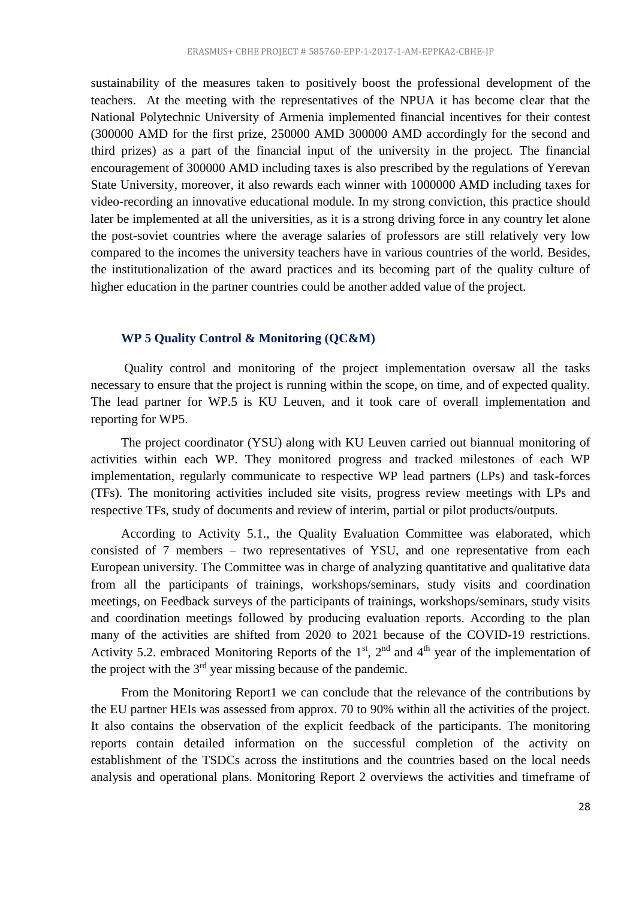sustainability of the measures taken to positively boost the professional development of the teachers. At the meeting with the representatives of the NPUA it has become clear that the National Polytechnic University of Armenia implemented financial incentives for their contest (300000 AMD for the first prize, 250000 AMD 300000 AMD accordingly for the second and third prizes) as a part of the financial input of the university in the project. The financial encouragement of 300000 AMD including taxes is also prescribed by the regulations of Yerevan State University, moreover, it also rewards each winner with 1000000 AMD including taxes for video-recording an innovative educational module. In my strong conviction, this practice should later be implemented at all the universities, as it is a strong driving force in any country let alone the post-soviet countries where the average salaries of professors are still relatively very low compared to the incomes the university teachers have in various countries of the world. Besides, the institutionalization of the award practices and its becoming part of the quality culture of higher education in the partner countries could be another added value of the project.

#### <span id="page-27-0"></span>**WP 5 Quality Control & Monitoring (QC&M)**

Quality control and monitoring of the project implementation oversaw all the tasks necessary to ensure that the project is running within the scope, on time, and of expected quality. The lead partner for WP.5 is KU Leuven, and it took care of overall implementation and reporting for WP5.

The project coordinator (YSU) along with KU Leuven carried out biannual monitoring of activities within each WP. They monitored progress and tracked milestones of each WP implementation, regularly communicate to respective WP lead partners (LPs) and task-forces (TFs). The monitoring activities included site visits, progress review meetings with LPs and respective TFs, study of documents and review of interim, partial or pilot products/outputs.

According to Activity 5.1., the Quality Evaluation Committee was elaborated, which consisted of 7 members – two representatives of YSU, and one representative from each European university. The Committee was in charge of analyzing quantitative and qualitative data from all the participants of trainings, workshops/seminars, study visits and coordination meetings, on Feedback surveys of the participants of trainings, workshops/seminars, study visits and coordination meetings followed by producing evaluation reports. According to the plan many of the activities are shifted from 2020 to 2021 because of the COVID-19 restrictions. Activity 5.2. embraced Monitoring Reports of the  $1<sup>st</sup>$ ,  $2<sup>nd</sup>$  and  $4<sup>th</sup>$  year of the implementation of the project with the  $3<sup>rd</sup>$  year missing because of the pandemic.

From the Monitoring Report1 we can conclude that the relevance of the contributions by the EU partner HEIs was assessed from approx. 70 to 90% within all the activities of the project. It also contains the observation of the explicit feedback of the participants. The monitoring reports contain detailed information on the successful completion of the activity on establishment of the TSDCs across the institutions and the countries based on the local needs analysis and operational plans. Monitoring Report 2 overviews the activities and timeframe of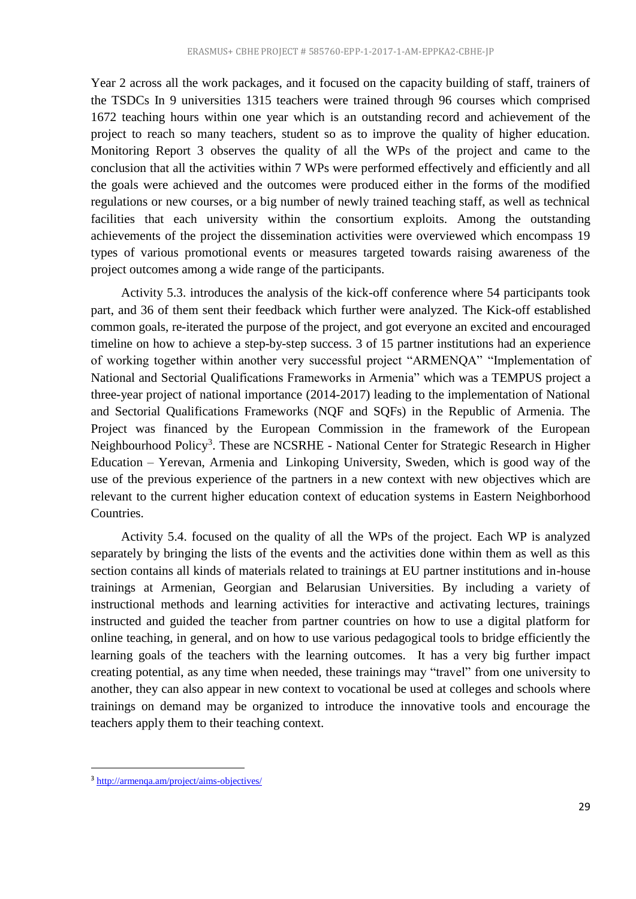Year 2 across all the work packages, and it focused on the capacity building of staff, trainers of the TSDCs In 9 universities 1315 teachers were trained through 96 courses which comprised 1672 teaching hours within one year which is an outstanding record and achievement of the project to reach so many teachers, student so as to improve the quality of higher education. Monitoring Report 3 observes the quality of all the WPs of the project and came to the conclusion that all the activities within 7 WPs were performed effectively and efficiently and all the goals were achieved and the outcomes were produced either in the forms of the modified regulations or new courses, or a big number of newly trained teaching staff, as well as technical facilities that each university within the consortium exploits. Among the outstanding achievements of the project the dissemination activities were overviewed which encompass 19 types of various promotional events or measures targeted towards raising awareness of the project outcomes among a wide range of the participants.

Activity 5.3. introduces the analysis of the kick-off conference where 54 participants took part, and 36 of them sent their feedback which further were analyzed. The Kick-off established common goals, re-iterated the purpose of the project, and got everyone an excited and encouraged timeline on how to achieve a step-by-step success. 3 of 15 partner institutions had an experience of working together within another very successful project "ARMENQA" "Implementation of National and Sectorial Qualifications Frameworks in Armenia" which was a TEMPUS project a three-year project of national importance (2014-2017) leading to the implementation of National and Sectorial Qualifications Frameworks (NQF and SQFs) in the Republic of Armenia. The Project was financed by the European Commission in the framework of the European Neighbourhood Policy<sup>3</sup>. These are NCSRHE - National Center for Strategic Research in Higher Education – Yerevan, Armenia and Linkoping University, Sweden, which is good way of the use of the previous experience of the partners in a new context with new objectives which are relevant to the current higher education context of education systems in Eastern Neighborhood Countries.

Activity 5.4. focused on the quality of all the WPs of the project. Each WP is analyzed separately by bringing the lists of the events and the activities done within them as well as this section contains all kinds of materials related to trainings at EU partner institutions and in-house trainings at Armenian, Georgian and Belarusian Universities. By including a variety of instructional methods and learning activities for interactive and activating lectures, trainings instructed and guided the teacher from partner countries on how to use a digital platform for online teaching, in general, and on how to use various pedagogical tools to bridge efficiently the learning goals of the teachers with the learning outcomes. It has a very big further impact creating potential, as any time when needed, these trainings may "travel" from one university to another, they can also appear in new context to vocational be used at colleges and schools where trainings on demand may be organized to introduce the innovative tools and encourage the teachers apply them to their teaching context.

**.** 

<sup>&</sup>lt;sup>3</sup> <http://armenqa.am/project/aims-objectives/>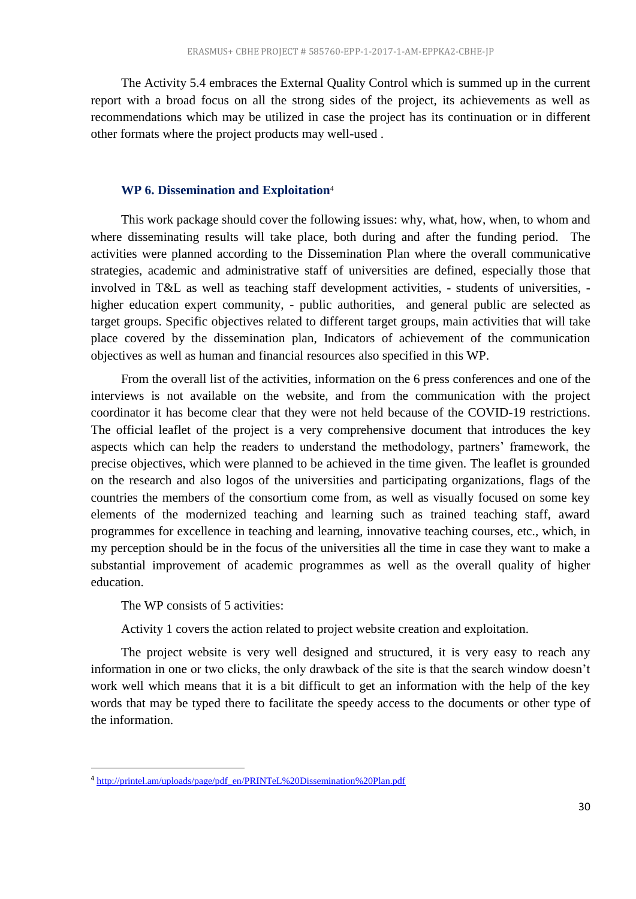The Activity 5.4 embraces the External Quality Control which is summed up in the current report with a broad focus on all the strong sides of the project, its achievements as well as recommendations which may be utilized in case the project has its continuation or in different other formats where the project products may well-used .

#### **WP 6. Dissemination and Exploitation**<sup>4</sup>

<span id="page-29-0"></span>This work package should cover the following issues: why, what, how, when, to whom and where disseminating results will take place, both during and after the funding period. The activities were planned according to the Dissemination Plan where the overall communicative strategies, academic and administrative staff of universities are defined, especially those that involved in T&L as well as teaching staff development activities, - students of universities, higher education expert community, - public authorities, and general public are selected as target groups. Specific objectives related to different target groups, main activities that will take place covered by the dissemination plan, Indicators of achievement of the communication objectives as well as human and financial resources also specified in this WP.

From the overall list of the activities, information on the 6 press conferences and one of the interviews is not available on the website, and from the communication with the project coordinator it has become clear that they were not held because of the COVID-19 restrictions. The official leaflet of the project is a very comprehensive document that introduces the key aspects which can help the readers to understand the methodology, partners' framework, the precise objectives, which were planned to be achieved in the time given. The leaflet is grounded on the research and also logos of the universities and participating organizations, flags of the countries the members of the consortium come from, as well as visually focused on some key elements of the modernized teaching and learning such as trained teaching staff, award programmes for excellence in teaching and learning, innovative teaching courses, etc., which, in my perception should be in the focus of the universities all the time in case they want to make a substantial improvement of academic programmes as well as the overall quality of higher education.

The WP consists of 5 activities:

**.** 

Activity 1 covers the action related to project website creation and exploitation.

The project website is very well designed and structured, it is very easy to reach any information in one or two clicks, the only drawback of the site is that the search window doesn't work well which means that it is a bit difficult to get an information with the help of the key words that may be typed there to facilitate the speedy access to the documents or other type of the information.

<sup>&</sup>lt;sup>4</sup> [http://printel.am/uploads/page/pdf\\_en/PRINTeL%20Dissemination%20Plan.pdf](http://printel.am/uploads/page/pdf_en/PRINTeL%20Dissemination%20Plan.pdf)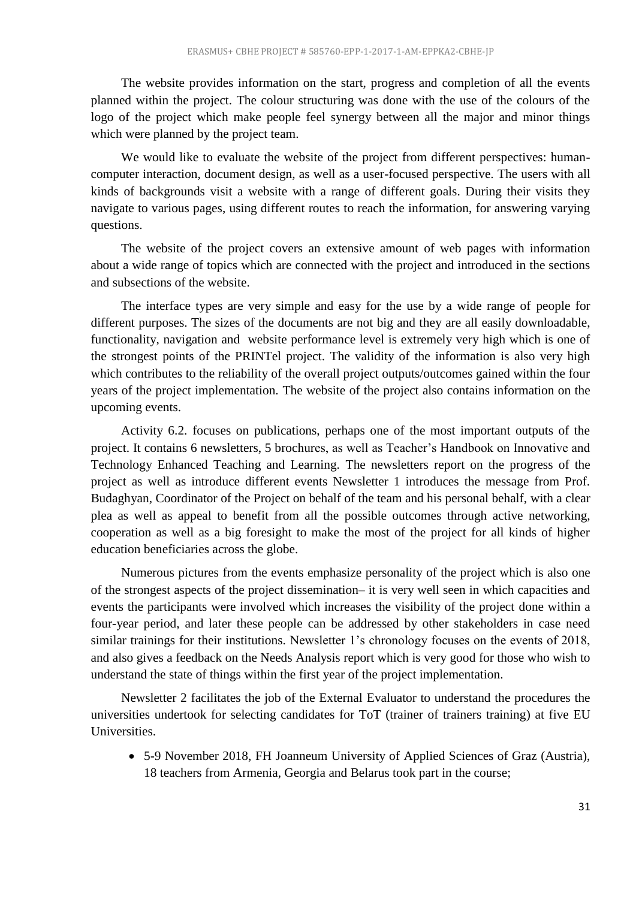The website provides information on the start, progress and completion of all the events planned within the project. The colour structuring was done with the use of the colours of the logo of the project which make people feel synergy between all the major and minor things which were planned by the project team.

We would like to evaluate the website of the project from different perspectives: humancomputer interaction, document design, as well as a user-focused perspective. The users with all kinds of backgrounds visit a website with a range of different goals. During their visits they navigate to various pages, using different routes to reach the information, for answering varying questions.

The website of the project covers an extensive amount of web pages with information about a wide range of topics which are connected with the project and introduced in the sections and subsections of the website.

The interface types are very simple and easy for the use by a wide range of people for different purposes. The sizes of the documents are not big and they are all easily downloadable, functionality, navigation and website performance level is extremely very high which is one of the strongest points of the PRINTel project. The validity of the information is also very high which contributes to the reliability of the overall project outputs/outcomes gained within the four years of the project implementation. The website of the project also contains information on the upcoming events.

Activity 6.2. focuses on publications, perhaps one of the most important outputs of the project. It contains 6 newsletters, 5 brochures, as well as Teacher's Handbook on Innovative and Technology Enhanced Teaching and Learning. The newsletters report on the progress of the project as well as introduce different events Newsletter 1 introduces the message from Prof. Budaghyan, Coordinator of the Project on behalf of the team and his personal behalf, with a clear plea as well as appeal to benefit from all the possible outcomes through active networking, cooperation as well as a big foresight to make the most of the project for all kinds of higher education beneficiaries across the globe.

Numerous pictures from the events emphasize personality of the project which is also one of the strongest aspects of the project dissemination– it is very well seen in which capacities and events the participants were involved which increases the visibility of the project done within a four-year period, and later these people can be addressed by other stakeholders in case need similar trainings for their institutions. Newsletter 1's chronology focuses on the events of 2018, and also gives a feedback on the Needs Analysis report which is very good for those who wish to understand the state of things within the first year of the project implementation.

Newsletter 2 facilitates the job of the External Evaluator to understand the procedures the universities undertook for selecting candidates for ToT (trainer of trainers training) at five EU Universities.

 5-9 November 2018, FH Joanneum University of Applied Sciences of Graz (Austria), 18 teachers from Armenia, Georgia and Belarus took part in the course;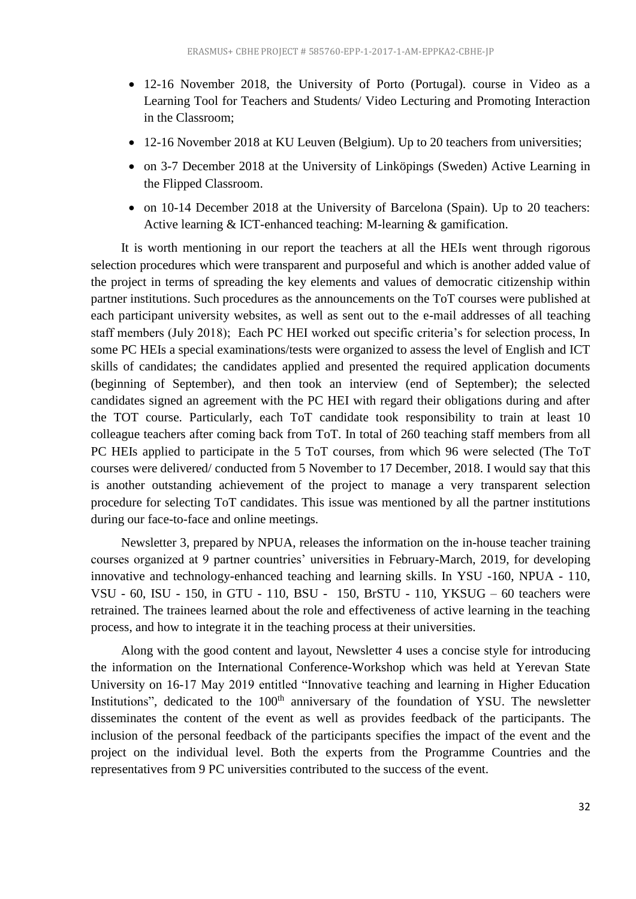- 12-16 November 2018, the University of Porto (Portugal). course in Video as a Learning Tool for Teachers and Students/ Video Lecturing and Promoting Interaction in the Classroom;
- 12-16 November 2018 at KU Leuven (Belgium). Up to 20 teachers from universities;
- on 3-7 December 2018 at the University of Linköpings (Sweden) Active Learning in the Flipped Classroom.
- on 10-14 December 2018 at the University of Barcelona (Spain). Up to 20 teachers: Active learning & ICT-enhanced teaching: M-learning & gamification.

It is worth mentioning in our report the teachers at all the HEIs went through rigorous selection procedures which were transparent and purposeful and which is another added value of the project in terms of spreading the key elements and values of democratic citizenship within partner institutions. Such procedures as the announcements on the ToT courses were published at each participant university websites, as well as sent out to the e-mail addresses of all teaching staff members (July 2018); Each PC HEI worked out specific criteria's for selection process, In some PC HEIs a special examinations/tests were organized to assess the level of English and ICT skills of candidates; the candidates applied and presented the required application documents (beginning of September), and then took an interview (end of September); the selected candidates signed an agreement with the PC HEI with regard their obligations during and after the TOT course. Particularly, each ToT candidate took responsibility to train at least 10 colleague teachers after coming back from ToT. In total of 260 teaching staff members from all PC HEIs applied to participate in the 5 ToT courses, from which 96 were selected (The ToT courses were delivered/ conducted from 5 November to 17 December, 2018. I would say that this is another outstanding achievement of the project to manage a very transparent selection procedure for selecting ToT candidates. This issue was mentioned by all the partner institutions during our face-to-face and online meetings.

Newsletter 3, prepared by NPUA, releases the information on the in-house teacher training courses organized at 9 partner countries' universities in February-March, 2019, for developing innovative and technology-enhanced teaching and learning skills. In YSU -160, NPUA - 110, VSU - 60, ISU - 150, in GTU - 110, BSU - 150, BrSTU - 110, YKSUG – 60 teachers were retrained. The trainees learned about the role and effectiveness of active learning in the teaching process, and how to integrate it in the teaching process at their universities.

Along with the good content and layout, Newsletter 4 uses a concise style for introducing the information on the International Conference-Workshop which was held at Yerevan State University on 16-17 May 2019 entitled "Innovative teaching and learning in Higher Education Institutions", dedicated to the 100<sup>th</sup> anniversary of the foundation of YSU. The newsletter disseminates the content of the event as well as provides feedback of the participants. The inclusion of the personal feedback of the participants specifies the impact of the event and the project on the individual level. Both the experts from the Programme Countries and the representatives from 9 PC universities contributed to the success of the event.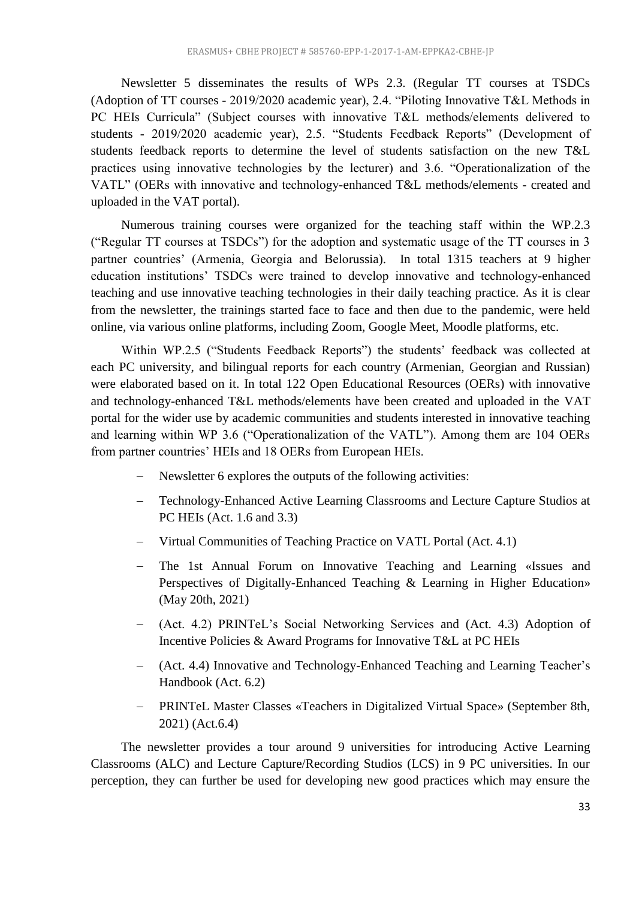Newsletter 5 disseminates the results of WPs 2.3. (Regular TT courses at TSDCs (Adoption of TT courses - 2019/2020 academic year), 2.4. "Piloting Innovative T&L Methods in PC HEIs Curricula" (Subject courses with innovative T&L methods/elements delivered to students - 2019/2020 academic year), 2.5. "Students Feedback Reports" (Development of students feedback reports to determine the level of students satisfaction on the new T&L practices using innovative technologies by the lecturer) and 3.6. "Operationalization of the VATL" (OERs with innovative and technology-enhanced T&L methods/elements - created and uploaded in the VAT portal).

Numerous training courses were organized for the teaching staff within the WP.2.3 ("Regular TT courses at TSDCs") for the adoption and systematic usage of the TT courses in 3 partner countries' (Armenia, Georgia and Belorussia). In total 1315 teachers at 9 higher education institutions' TSDCs were trained to develop innovative and technology-enhanced teaching and use innovative teaching technologies in their daily teaching practice. As it is clear from the newsletter, the trainings started face to face and then due to the pandemic, were held online, via various online platforms, including Zoom, Google Meet, Moodle platforms, etc.

Within WP.2.5 ("Students Feedback Reports") the students' feedback was collected at each PC university, and bilingual reports for each country (Armenian, Georgian and Russian) were elaborated based on it. In total 122 Open Educational Resources (OERs) with innovative and technology-enhanced T&L methods/elements have been created and uploaded in the VAT portal for the wider use by academic communities and students interested in innovative teaching and learning within WP 3.6 ("Operationalization of the VATL"). Among them are 104 OERs from partner countries' HEIs and 18 OERs from European HEIs.

- Newsletter 6 explores the outputs of the following activities:
- Technology-Enhanced Active Learning Classrooms and Lecture Capture Studios at PC HEIs (Act. 1.6 and 3.3)
- Virtual Communities of Teaching Practice on VATL Portal (Act. 4.1)
- The 1st Annual Forum on Innovative Teaching and Learning «Issues and Perspectives of Digitally-Enhanced Teaching & Learning in Higher Education» (May 20th, 2021)
- (Act. 4.2) PRINTeL's Social Networking Services and (Act. 4.3) Adoption of Incentive Policies & Award Programs for Innovative T&L at PC HEIs
- (Act. 4.4) Innovative and Technology-Enhanced Teaching and Learning Teacher's Handbook (Act. 6.2)
- PRINTeL Master Classes «Teachers in Digitalized Virtual Space» (September 8th, 2021) (Act.6.4)

The newsletter provides a tour around 9 universities for introducing Active Learning Classrooms (ALC) and Lecture Capture/Recording Studios (LCS) in 9 PC universities. In our perception, they can further be used for developing new good practices which may ensure the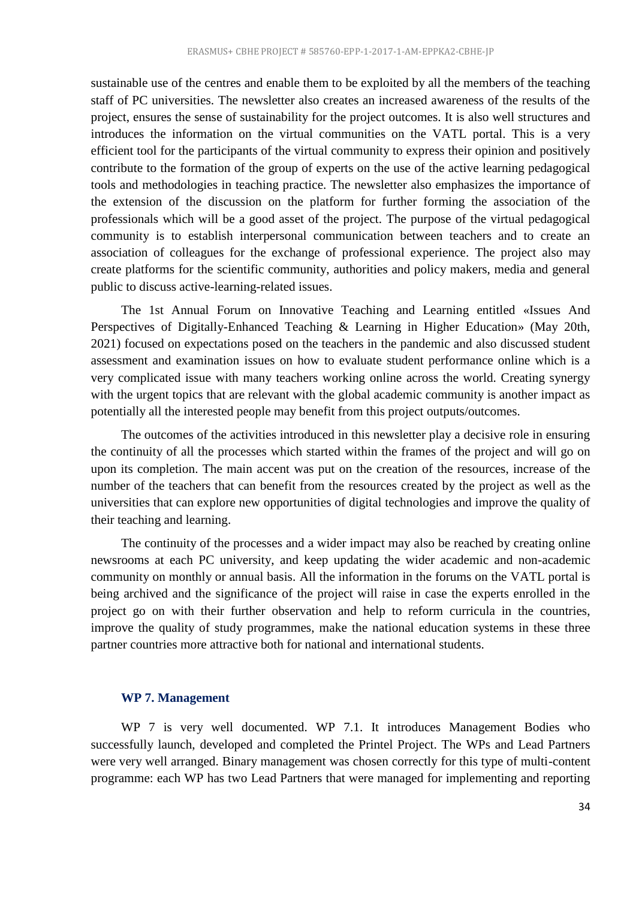sustainable use of the centres and enable them to be exploited by all the members of the teaching staff of PC universities. The newsletter also creates an increased awareness of the results of the project, ensures the sense of sustainability for the project outcomes. It is also well structures and introduces the information on the virtual communities on the VATL portal. This is a very efficient tool for the participants of the virtual community to express their opinion and positively contribute to the formation of the group of experts on the use of the active learning pedagogical tools and methodologies in teaching practice. The newsletter also emphasizes the importance of the extension of the discussion on the platform for further forming the association of the professionals which will be a good asset of the project. The purpose of the virtual pedagogical community is to establish interpersonal communication between teachers and to create an association of colleagues for the exchange of professional experience. The project also may create platforms for the scientific community, authorities and policy makers, media and general public to discuss active-learning-related issues.

The 1st Annual Forum on Innovative Teaching and Learning entitled «Issues And Perspectives of Digitally-Enhanced Teaching & Learning in Higher Education» (May 20th, 2021) focused on expectations posed on the teachers in the pandemic and also discussed student assessment and examination issues on how to evaluate student performance online which is a very complicated issue with many teachers working online across the world. Creating synergy with the urgent topics that are relevant with the global academic community is another impact as potentially all the interested people may benefit from this project outputs/outcomes.

The outcomes of the activities introduced in this newsletter play a decisive role in ensuring the continuity of all the processes which started within the frames of the project and will go on upon its completion. The main accent was put on the creation of the resources, increase of the number of the teachers that can benefit from the resources created by the project as well as the universities that can explore new opportunities of digital technologies and improve the quality of their teaching and learning.

The continuity of the processes and a wider impact may also be reached by creating online newsrooms at each PC university, and keep updating the wider academic and non-academic community on monthly or annual basis. All the information in the forums on the VATL portal is being archived and the significance of the project will raise in case the experts enrolled in the project go on with their further observation and help to reform curricula in the countries, improve the quality of study programmes, make the national education systems in these three partner countries more attractive both for national and international students.

#### <span id="page-33-0"></span>**WP 7. Management**

WP 7 is very well documented. WP 7.1. It introduces Management Bodies who successfully launch, developed and completed the Printel Project. The WPs and Lead Partners were very well arranged. Binary management was chosen correctly for this type of multi-content programme: each WP has two Lead Partners that were managed for implementing and reporting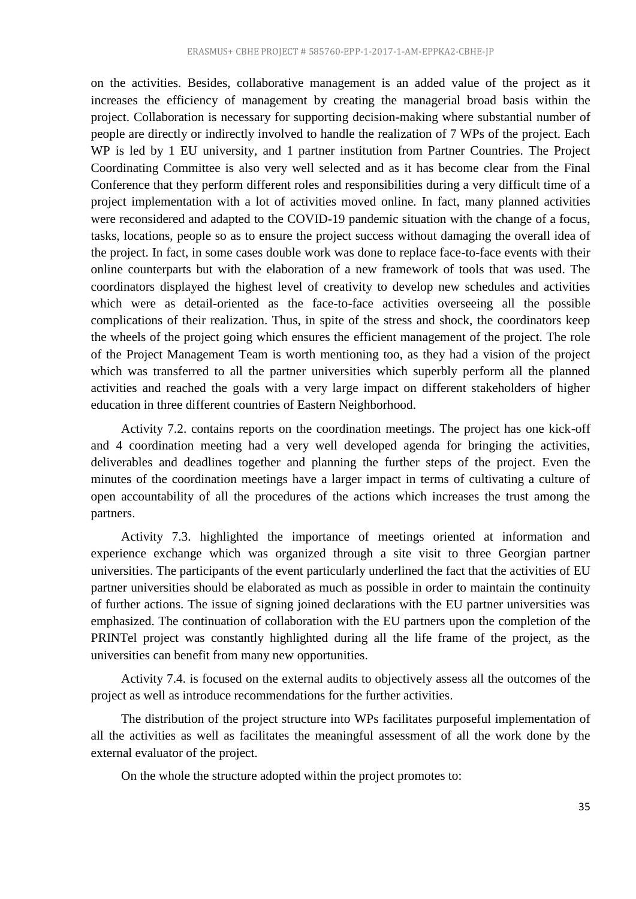on the activities. Besides, collaborative management is an added value of the project as it increases the efficiency of management by creating the managerial broad basis within the project. Collaboration is necessary for supporting decision-making where substantial number of people are directly or indirectly involved to handle the realization of 7 WPs of the project. Each WP is led by 1 EU university, and 1 partner institution from Partner Countries. The Project Coordinating Committee is also very well selected and as it has become clear from the Final Conference that they perform different roles and responsibilities during a very difficult time of a project implementation with a lot of activities moved online. In fact, many planned activities were reconsidered and adapted to the COVID-19 pandemic situation with the change of a focus, tasks, locations, people so as to ensure the project success without damaging the overall idea of the project. In fact, in some cases double work was done to replace face-to-face events with their online counterparts but with the elaboration of a new framework of tools that was used. The coordinators displayed the highest level of creativity to develop new schedules and activities which were as detail-oriented as the face-to-face activities overseeing all the possible complications of their realization. Thus, in spite of the stress and shock, the coordinators keep the wheels of the project going which ensures the efficient management of the project. The role of the Project Management Team is worth mentioning too, as they had a vision of the project which was transferred to all the partner universities which superbly perform all the planned activities and reached the goals with a very large impact on different stakeholders of higher education in three different countries of Eastern Neighborhood.

Activity 7.2. contains reports on the coordination meetings. The project has one kick-off and 4 coordination meeting had a very well developed agenda for bringing the activities, deliverables and deadlines together and planning the further steps of the project. Even the minutes of the coordination meetings have a larger impact in terms of cultivating a culture of open accountability of all the procedures of the actions which increases the trust among the partners.

Activity 7.3. highlighted the importance of meetings oriented at information and experience exchange which was organized through a site visit to three Georgian partner universities. The participants of the event particularly underlined the fact that the activities of EU partner universities should be elaborated as much as possible in order to maintain the continuity of further actions. The issue of signing joined declarations with the EU partner universities was emphasized. The continuation of collaboration with the EU partners upon the completion of the PRINTel project was constantly highlighted during all the life frame of the project, as the universities can benefit from many new opportunities.

Activity 7.4. is focused on the external audits to objectively assess all the outcomes of the project as well as introduce recommendations for the further activities.

The distribution of the project structure into WPs facilitates purposeful implementation of all the activities as well as facilitates the meaningful assessment of all the work done by the external evaluator of the project.

On the whole the structure adopted within the project promotes to: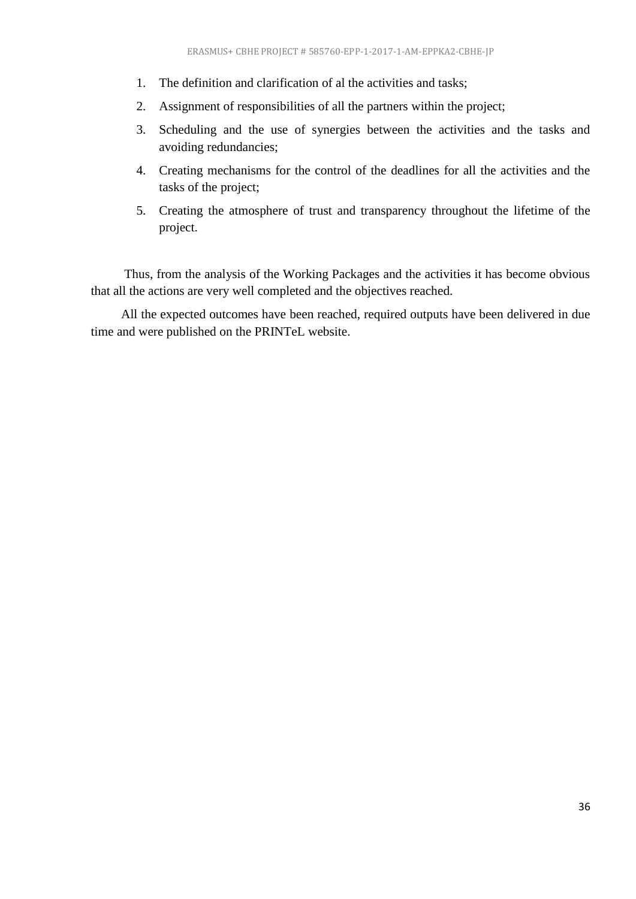- 1. The definition and clarification of al the activities and tasks;
- 2. Assignment of responsibilities of all the partners within the project;
- 3. Scheduling and the use of synergies between the activities and the tasks and avoiding redundancies;
- 4. Creating mechanisms for the control of the deadlines for all the activities and the tasks of the project;
- 5. Creating the atmosphere of trust and transparency throughout the lifetime of the project.

Thus, from the analysis of the Working Packages and the activities it has become obvious that all the actions are very well completed and the objectives reached.

<span id="page-35-0"></span>All the expected outcomes have been reached, required outputs have been delivered in due time and were published on the PRINTeL website.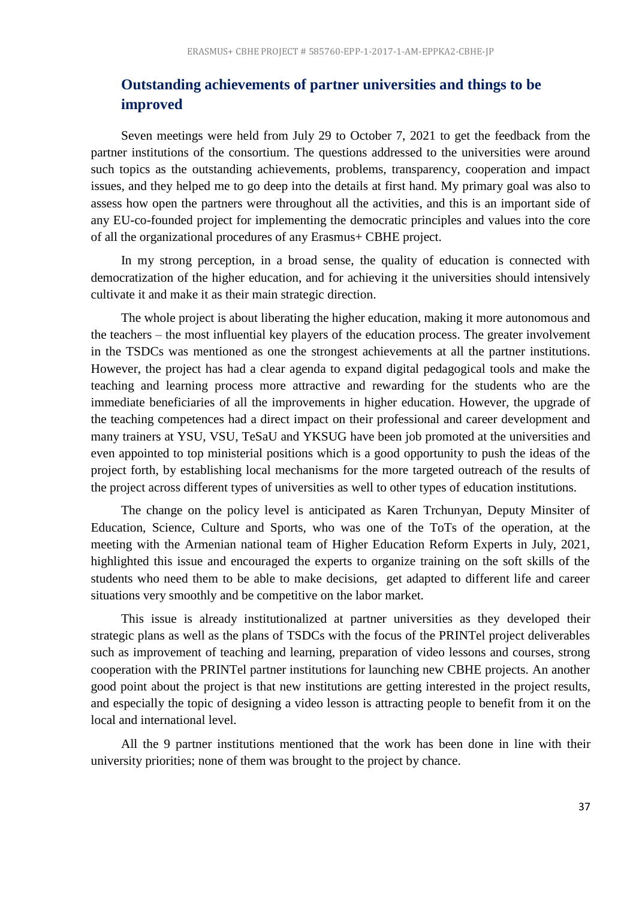# **Outstanding achievements of partner universities and things to be improved**

Seven meetings were held from July 29 to October 7, 2021 to get the feedback from the partner institutions of the consortium. The questions addressed to the universities were around such topics as the outstanding achievements, problems, transparency, cooperation and impact issues, and they helped me to go deep into the details at first hand. My primary goal was also to assess how open the partners were throughout all the activities, and this is an important side of any EU-co-founded project for implementing the democratic principles and values into the core of all the organizational procedures of any Erasmus+ CBHE project.

In my strong perception, in a broad sense, the quality of education is connected with democratization of the higher education, and for achieving it the universities should intensively cultivate it and make it as their main strategic direction.

The whole project is about liberating the higher education, making it more autonomous and the teachers – the most influential key players of the education process. The greater involvement in the TSDCs was mentioned as one the strongest achievements at all the partner institutions. However, the project has had a clear agenda to expand digital pedagogical tools and make the teaching and learning process more attractive and rewarding for the students who are the immediate beneficiaries of all the improvements in higher education. However, the upgrade of the teaching competences had a direct impact on their professional and career development and many trainers at YSU, VSU, TeSaU and YKSUG have been job promoted at the universities and even appointed to top ministerial positions which is a good opportunity to push the ideas of the project forth, by establishing local mechanisms for the more targeted outreach of the results of the project across different types of universities as well to other types of education institutions.

The change on the policy level is anticipated as Karen Trchunyan, Deputy Minsiter of Education, Science, Culture and Sports, who was one of the ToTs of the operation, at the meeting with the Armenian national team of Higher Education Reform Experts in July, 2021, highlighted this issue and encouraged the experts to organize training on the soft skills of the students who need them to be able to make decisions, get adapted to different life and career situations very smoothly and be competitive on the labor market.

This issue is already institutionalized at partner universities as they developed their strategic plans as well as the plans of TSDCs with the focus of the PRINTel project deliverables such as improvement of teaching and learning, preparation of video lessons and courses, strong cooperation with the PRINTel partner institutions for launching new CBHE projects. An another good point about the project is that new institutions are getting interested in the project results, and especially the topic of designing a video lesson is attracting people to benefit from it on the local and international level.

All the 9 partner institutions mentioned that the work has been done in line with their university priorities; none of them was brought to the project by chance.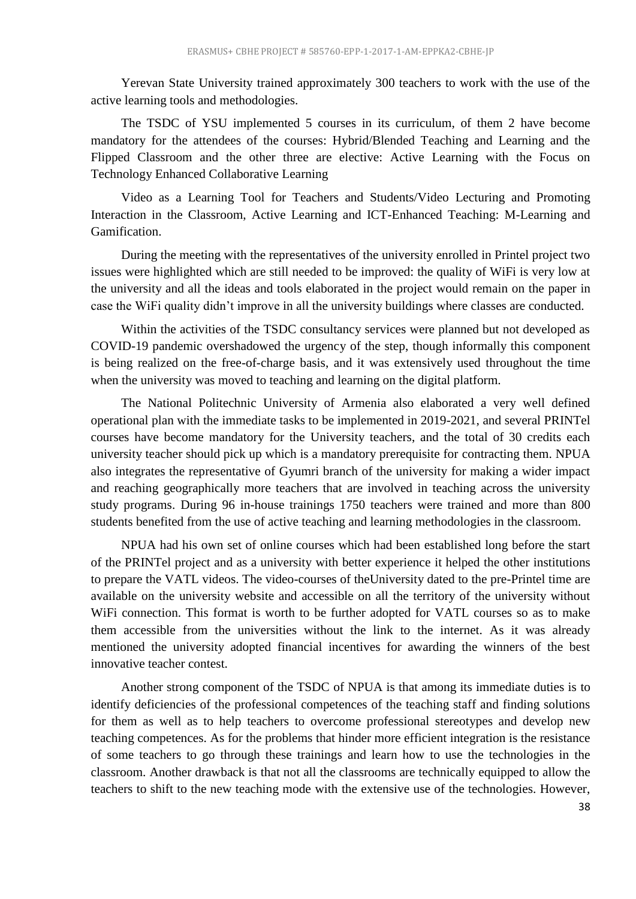Yerevan State University trained approximately 300 teachers to work with the use of the active learning tools and methodologies.

The TSDC of YSU implemented 5 courses in its curriculum, of them 2 have become mandatory for the attendees of the courses: Hybrid/Blended Teaching and Learning and the Flipped Classroom and the other three are elective: Active Learning with the Focus on Technology Enhanced Collaborative Learning

Video as a Learning Tool for Teachers and Students/Video Lecturing and Promoting Interaction in the Classroom, Active Learning and ICT-Enhanced Teaching: M-Learning and Gamification.

During the meeting with the representatives of the university enrolled in Printel project two issues were highlighted which are still needed to be improved: the quality of WiFi is very low at the university and all the ideas and tools elaborated in the project would remain on the paper in case the WiFi quality didn't improve in all the university buildings where classes are conducted.

Within the activities of the TSDC consultancy services were planned but not developed as COVID-19 pandemic overshadowed the urgency of the step, though informally this component is being realized on the free-of-charge basis, and it was extensively used throughout the time when the university was moved to teaching and learning on the digital platform.

The National Politechnic University of Armenia also elaborated a very well defined operational plan with the immediate tasks to be implemented in 2019-2021, and several PRINTel courses have become mandatory for the University teachers, and the total of 30 credits each university teacher should pick up which is a mandatory prerequisite for contracting them. NPUA also integrates the representative of Gyumri branch of the university for making a wider impact and reaching geographically more teachers that are involved in teaching across the university study programs. During 96 in-house trainings 1750 teachers were trained and more than 800 students benefited from the use of active teaching and learning methodologies in the classroom.

NPUA had his own set of online courses which had been established long before the start of the PRINTel project and as a university with better experience it helped the other institutions to prepare the VATL videos. The video-courses of theUniversity dated to the pre-Printel time are available on the university website and accessible on all the territory of the university without WiFi connection. This format is worth to be further adopted for VATL courses so as to make them accessible from the universities without the link to the internet. As it was already mentioned the university adopted financial incentives for awarding the winners of the best innovative teacher contest.

Another strong component of the TSDC of NPUA is that among its immediate duties is to identify deficiencies of the professional competences of the teaching staff and finding solutions for them as well as to help teachers to overcome professional stereotypes and develop new teaching competences. As for the problems that hinder more efficient integration is the resistance of some teachers to go through these trainings and learn how to use the technologies in the classroom. Another drawback is that not all the classrooms are technically equipped to allow the teachers to shift to the new teaching mode with the extensive use of the technologies. However,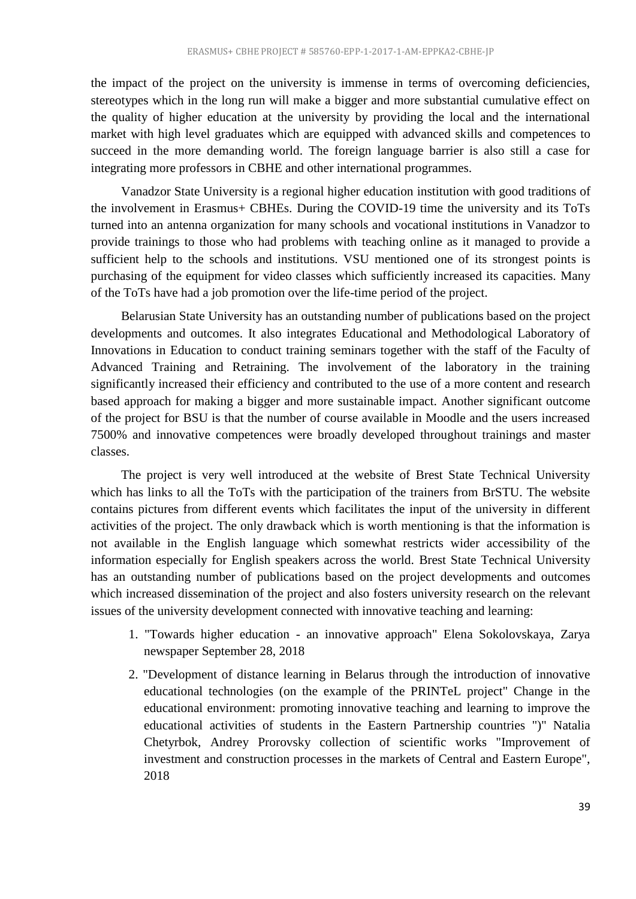the impact of the project on the university is immense in terms of overcoming deficiencies, stereotypes which in the long run will make a bigger and more substantial cumulative effect on the quality of higher education at the university by providing the local and the international market with high level graduates which are equipped with advanced skills and competences to succeed in the more demanding world. The foreign language barrier is also still a case for integrating more professors in CBHE and other international programmes.

Vanadzor State University is a regional higher education institution with good traditions of the involvement in Erasmus+ CBHEs. During the COVID-19 time the university and its ToTs turned into an antenna organization for many schools and vocational institutions in Vanadzor to provide trainings to those who had problems with teaching online as it managed to provide a sufficient help to the schools and institutions. VSU mentioned one of its strongest points is purchasing of the equipment for video classes which sufficiently increased its capacities. Many of the ToTs have had a job promotion over the life-time period of the project.

Belarusian State University has an outstanding number of publications based on the project developments and outcomes. It also integrates Educational and Methodological Laboratory of Innovations in Education to conduct training seminars together with the staff of the Faculty of Advanced Training and Retraining. The involvement of the laboratory in the training significantly increased their efficiency and contributed to the use of a more content and research based approach for making a bigger and more sustainable impact. Another significant outcome of the project for BSU is that the number of course available in Moodle and the users increased 7500% and innovative competences were broadly developed throughout trainings and master classes.

The project is very well introduced at the website of Brest State Technical University which has links to all the ToTs with the participation of the trainers from BrSTU. The website contains pictures from different events which facilitates the input of the university in different activities of the project. The only drawback which is worth mentioning is that the information is not available in the English language which somewhat restricts wider accessibility of the information especially for English speakers across the world. Brest State Technical University has an outstanding number of publications based on the project developments and outcomes which increased dissemination of the project and also fosters university research on the relevant issues of the university development connected with innovative teaching and learning:

- 1. "Towards higher education an innovative approach" Elena Sokolovskaya, Zarya newspaper September 28, 2018
- 2. "Development of distance learning in Belarus through the introduction of innovative educational technologies (on the example of the PRINTeL project" Change in the educational environment: promoting innovative teaching and learning to improve the educational activities of students in the Eastern Partnership countries ")" Natalia Chetyrbok, Andrey Prorovsky collection of scientific works "Improvement of investment and construction processes in the markets of Central and Eastern Europe", 2018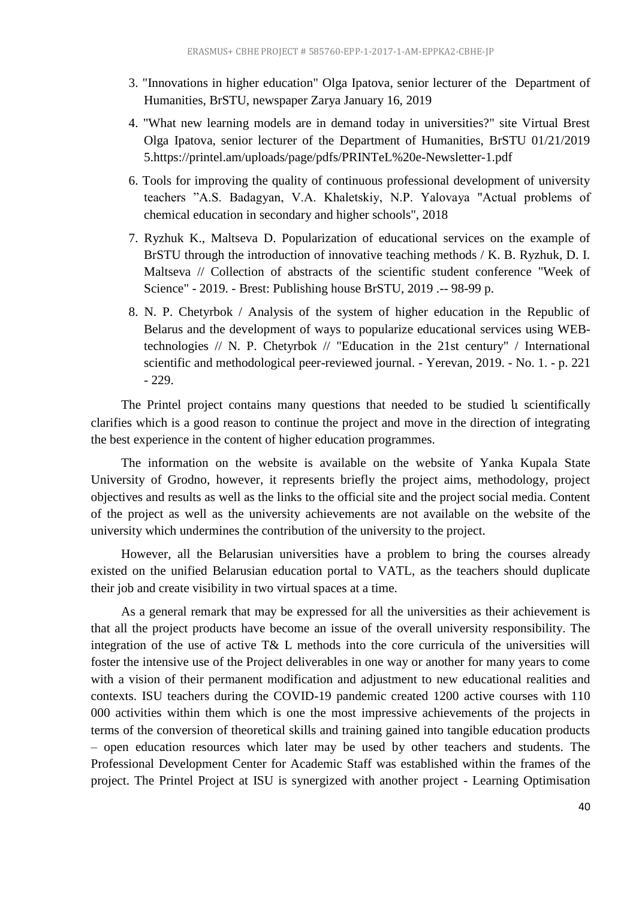- 3. "Innovations in higher education" Olga Ipatova, senior lecturer of the Department of Humanities, BrSTU, newspaper Zarya January 16, 2019
- 4. "What new learning models are in demand today in universities?" site Virtual Brest Olga Ipatova, senior lecturer of the Department of Humanities, BrSTU 01/21/2019 5.https://printel.am/uploads/page/pdfs/PRINTeL%20e-Newsletter-1.pdf
- 6. Tools for improving the quality of continuous professional development of university teachers "A.S. Badagyan, V.A. Khaletskiy, N.P. Yalovaya "Actual problems of chemical education in secondary and higher schools", 2018
- 7. Ryzhuk K., Maltseva D. Popularization of educational services on the example of BrSTU through the introduction of innovative teaching methods / K. B. Ryzhuk, D. I. Maltseva // Collection of abstracts of the scientific student conference "Week of Science" - 2019. - Brest: Publishing house BrSTU, 2019 .-- 98-99 p.
- 8. N. P. Chetyrbok / Analysis of the system of higher education in the Republic of Belarus and the development of ways to popularize educational services using WEBtechnologies // N. P. Chetyrbok // "Education in the 21st century" / International scientific and methodological peer-reviewed journal. - Yerevan, 2019. - No. 1. - p. 221 - 229.

The Printel project contains many questions that needed to be studied և scientifically clarifies which is a good reason to continue the project and move in the direction of integrating the best experience in the content of higher education programmes.

The information on the website is available on the website of Yanka Kupala State University of Grodno, however, it represents briefly the project aims, methodology, project objectives and results as well as the links to the official site and the project social media. Content of the project as well as the university achievements are not available on the website of the university which undermines the contribution of the university to the project.

However, all the Belarusian universities have a problem to bring the courses already existed on the unified Belarusian education portal to VATL, as the teachers should duplicate their job and create visibility in two virtual spaces at a time.

As a general remark that may be expressed for all the universities as their achievement is that all the project products have become an issue of the overall university responsibility. The integration of the use of active T& L methods into the core curricula of the universities will foster the intensive use of the Project deliverables in one way or another for many years to come with a vision of their permanent modification and adjustment to new educational realities and contexts. ISU teachers during the COVID-19 pandemic created 1200 active courses with 110 000 activities within them which is one the most impressive achievements of the projects in terms of the conversion of theoretical skills and training gained into tangible education products – open education resources which later may be used by other teachers and students. The Professional Development Center for Academic Staff was established within the frames of the project. The Printel Project at ISU is synergized with another project - Learning Optimisation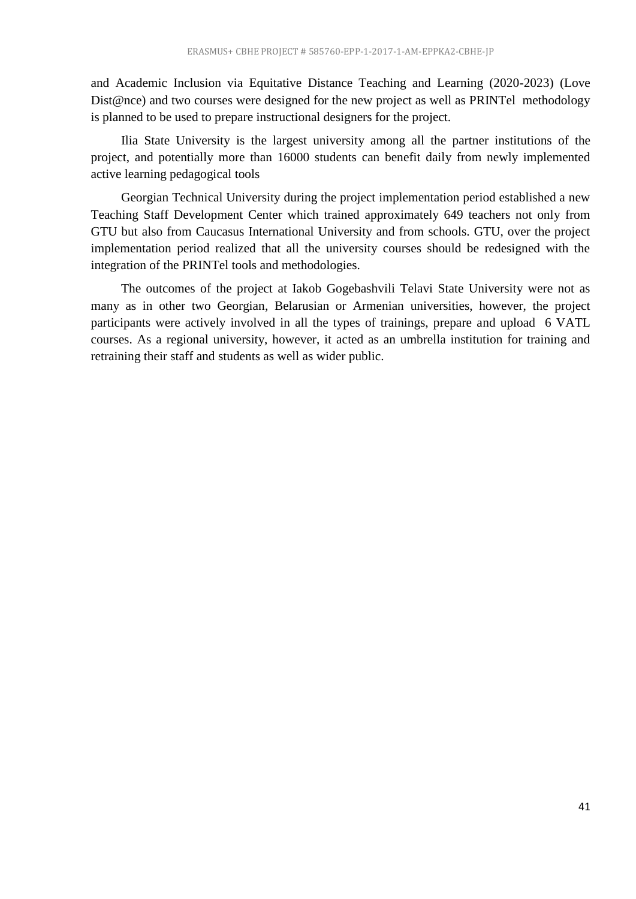and Academic Inclusion via Equitative Distance Teaching and Learning (2020-2023) (Love Dist@nce) and two courses were designed for the new project as well as PRINTel methodology is planned to be used to prepare instructional designers for the project.

Ilia State University is the largest university among all the partner institutions of the project, and potentially more than 16000 students can benefit daily from newly implemented active learning pedagogical tools

Georgian Technical University during the project implementation period established a new Teaching Staff Development Center which trained approximately 649 teachers not only from GTU but also from Caucasus International University and from schools. GTU, over the project implementation period realized that all the university courses should be redesigned with the integration of the PRINTel tools and methodologies.

<span id="page-40-0"></span>The outcomes of the project at Iakob Gogebashvili Telavi State University were not as many as in other two Georgian, Belarusian or Armenian universities, however, the project participants were actively involved in all the types of trainings, prepare and upload 6 VATL courses. As a regional university, however, it acted as an umbrella institution for training and retraining their staff and students as well as wider public.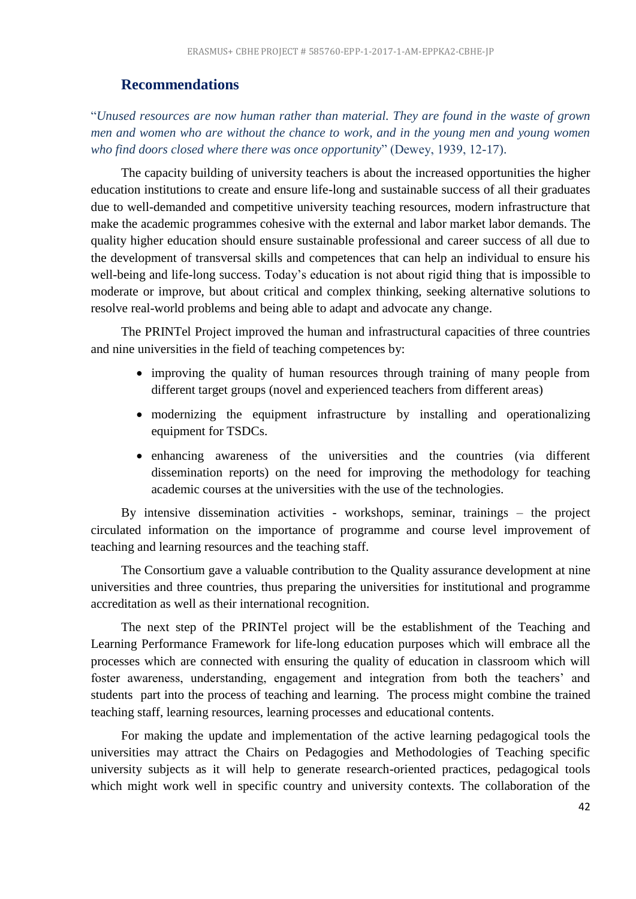# **Recommendations**

"*Unused resources are now human rather than material. They are found in the waste of grown men and women who are without the chance to work, and in the young men and young women who find doors closed where there was once opportunity*" (Dewey, 1939, 12-17).

The capacity building of university teachers is about the increased opportunities the higher education institutions to create and ensure life-long and sustainable success of all their graduates due to well-demanded and competitive university teaching resources, modern infrastructure that make the academic programmes cohesive with the external and labor market labor demands. The quality higher education should ensure sustainable professional and career success of all due to the development of transversal skills and competences that can help an individual to ensure his well-being and life-long success. Today's education is not about rigid thing that is impossible to moderate or improve, but about critical and complex thinking, seeking alternative solutions to resolve real-world problems and being able to adapt and advocate any change.

The PRINTel Project improved the human and infrastructural capacities of three countries and nine universities in the field of teaching competences by:

- improving the quality of human resources through training of many people from different target groups (novel and experienced teachers from different areas)
- modernizing the equipment infrastructure by installing and operationalizing equipment for TSDCs.
- enhancing awareness of the universities and the countries (via different dissemination reports) on the need for improving the methodology for teaching academic courses at the universities with the use of the technologies.

By intensive dissemination activities - workshops, seminar, trainings – the project circulated information on the importance of programme and course level improvement of teaching and learning resources and the teaching staff.

The Consortium gave a valuable contribution to the Quality assurance development at nine universities and three countries, thus preparing the universities for institutional and programme accreditation as well as their international recognition.

The next step of the PRINTel project will be the establishment of the Teaching and Learning Performance Framework for life-long education purposes which will embrace all the processes which are connected with ensuring the quality of education in classroom which will foster awareness, understanding, engagement and integration from both the teachers' and students part into the process of teaching and learning. The process might combine the trained teaching staff, learning resources, learning processes and educational contents.

For making the update and implementation of the active learning pedagogical tools the universities may attract the Chairs on Pedagogies and Methodologies of Teaching specific university subjects as it will help to generate research-oriented practices, pedagogical tools which might work well in specific country and university contexts. The collaboration of the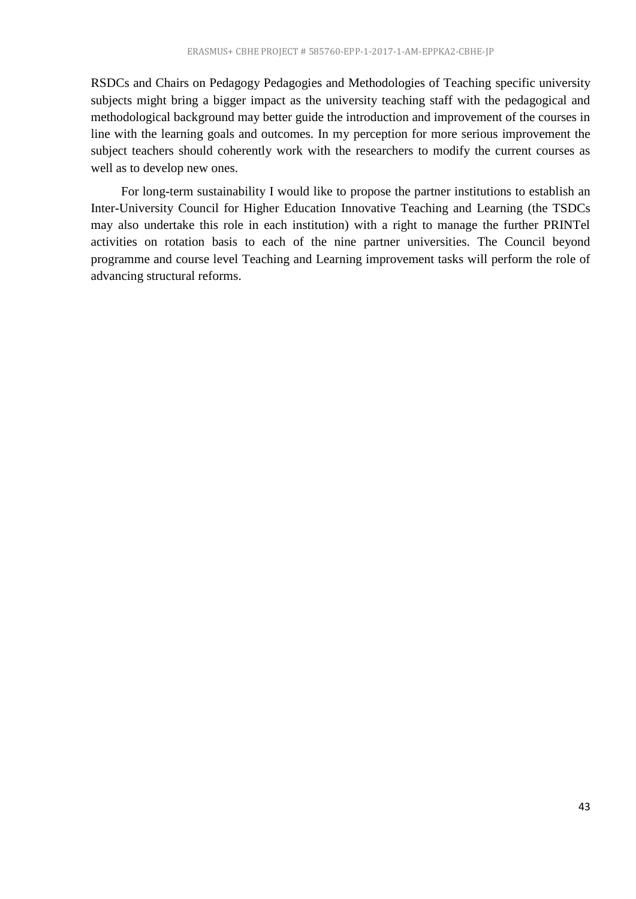RSDCs and Chairs on Pedagogy Pedagogies and Methodologies of Teaching specific university subjects might bring a bigger impact as the university teaching staff with the pedagogical and methodological background may better guide the introduction and improvement of the courses in line with the learning goals and outcomes. In my perception for more serious improvement the subject teachers should coherently work with the researchers to modify the current courses as well as to develop new ones.

For long-term sustainability I would like to propose the partner institutions to establish an Inter-University Council for Higher Education Innovative Teaching and Learning (the TSDCs may also undertake this role in each institution) with a right to manage the further PRINTel activities on rotation basis to each of the nine partner universities. The Council beyond programme and course level Teaching and Learning improvement tasks will perform the role of advancing structural reforms.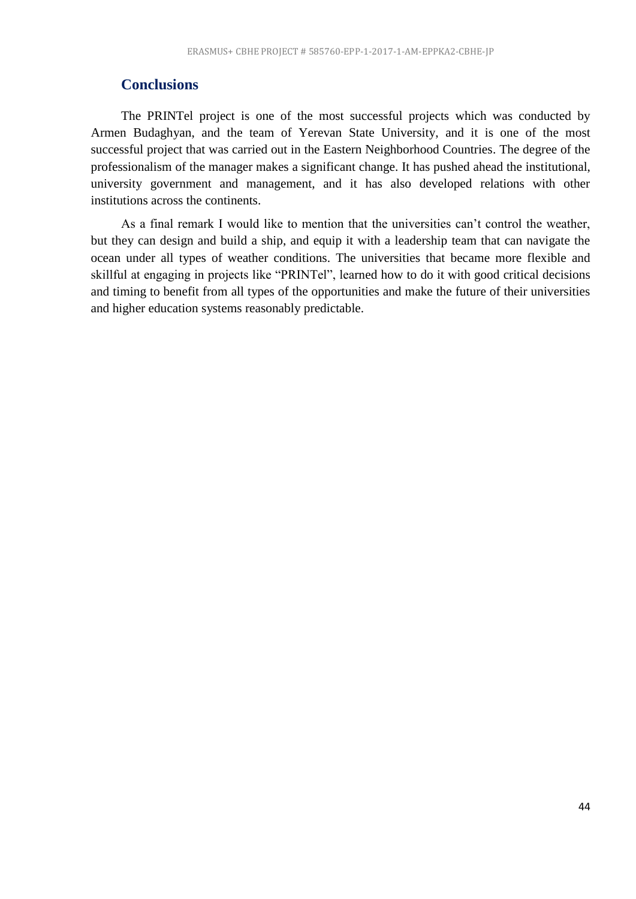# <span id="page-43-0"></span>**Conclusions**

The PRINTel project is one of the most successful projects which was conducted by Armen Budaghyan, and the team of Yerevan State University, and it is one of the most successful project that was carried out in the Eastern Neighborhood Countries. The degree of the professionalism of the manager makes a significant change. It has pushed ahead the institutional, university government and management, and it has also developed relations with other institutions across the continents.

As a final remark I would like to mention that the universities can't control the weather, but they can design and build a ship, and equip it with a leadership team that can navigate the ocean under all types of weather conditions. The universities that became more flexible and skillful at engaging in projects like "PRINTel", learned how to do it with good critical decisions and timing to benefit from all types of the opportunities and make the future of their universities and higher education systems reasonably predictable.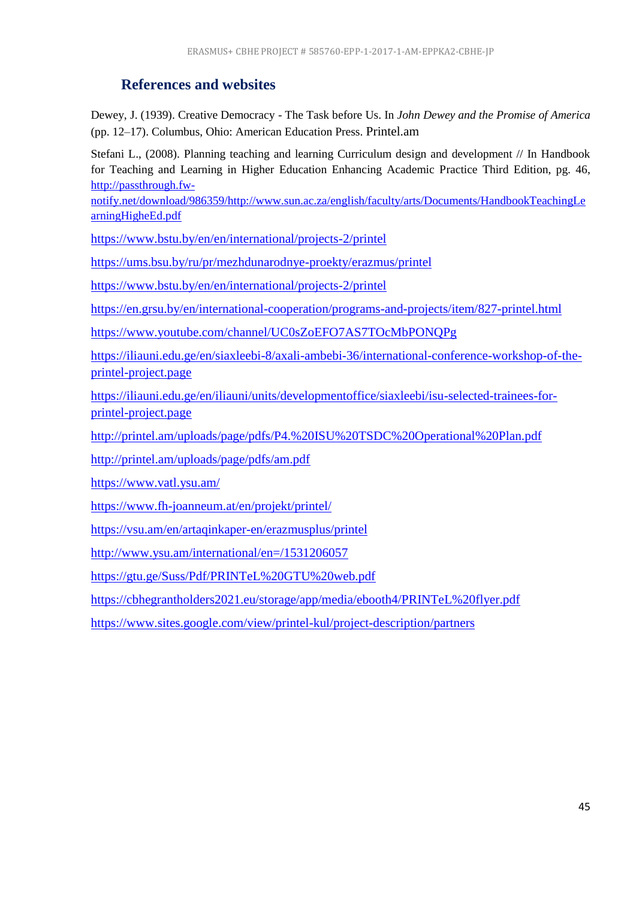# **References and websites**

<span id="page-44-0"></span>Dewey, J. (1939). Creative Democracy - The Task before Us. In *John Dewey and the Promise of America*  (pp. 12–17). Columbus, Ohio: American Education Press. Printel.am

Stefani L., (2008). Planning teaching and learning Curriculum design and development // In Handbook for Teaching and Learning in Higher Education Enhancing Academic Practice Third Edition, pg. 46, [http://passthrough.fw-](http://passthrough.fw-notify.net/download/986359/http:/www.sun.ac.za/english/faculty/arts/Documents/HandbookTeachingLearningHigheEd.pdf)

[notify.net/download/986359/http://www.sun.ac.za/english/faculty/arts/Documents/HandbookTeachingLe](http://passthrough.fw-notify.net/download/986359/http:/www.sun.ac.za/english/faculty/arts/Documents/HandbookTeachingLearningHigheEd.pdf) [arningHigheEd.pdf](http://passthrough.fw-notify.net/download/986359/http:/www.sun.ac.za/english/faculty/arts/Documents/HandbookTeachingLearningHigheEd.pdf)

<https://www.bstu.by/en/en/international/projects-2/printel>

<https://ums.bsu.by/ru/pr/mezhdunarodnye-proekty/erazmus/printel>

<https://www.bstu.by/en/en/international/projects-2/printel>

<https://en.grsu.by/en/international-cooperation/programs-and-projects/item/827-printel.html>

<https://www.youtube.com/channel/UC0sZoEFO7AS7TOcMbPONQPg>

[https://iliauni.edu.ge/en/siaxleebi-8/axali-ambebi-36/international-conference-workshop-of-the](https://iliauni.edu.ge/en/siaxleebi-8/axali-ambebi-36/international-conference-workshop-of-the-printel-project.page)[printel-project.page](https://iliauni.edu.ge/en/siaxleebi-8/axali-ambebi-36/international-conference-workshop-of-the-printel-project.page)

[https://iliauni.edu.ge/en/iliauni/units/developmentoffice/siaxleebi/isu-selected-trainees-for](https://iliauni.edu.ge/en/iliauni/units/developmentoffice/siaxleebi/isu-selected-trainees-for-printel-project.page)[printel-project.page](https://iliauni.edu.ge/en/iliauni/units/developmentoffice/siaxleebi/isu-selected-trainees-for-printel-project.page)

<http://printel.am/uploads/page/pdfs/P4.%20ISU%20TSDC%20Operational%20Plan.pdf>

<http://printel.am/uploads/page/pdfs/am.pdf>

<https://www.vatl.ysu.am/>

<https://www.fh-joanneum.at/en/projekt/printel/>

<https://vsu.am/en/artaqinkaper-en/erazmusplus/printel>

<http://www.ysu.am/international/en=/1531206057>

<https://gtu.ge/Suss/Pdf/PRINTeL%20GTU%20web.pdf>

<https://cbhegrantholders2021.eu/storage/app/media/ebooth4/PRINTeL%20flyer.pdf>

<span id="page-44-1"></span><https://www.sites.google.com/view/printel-kul/project-description/partners>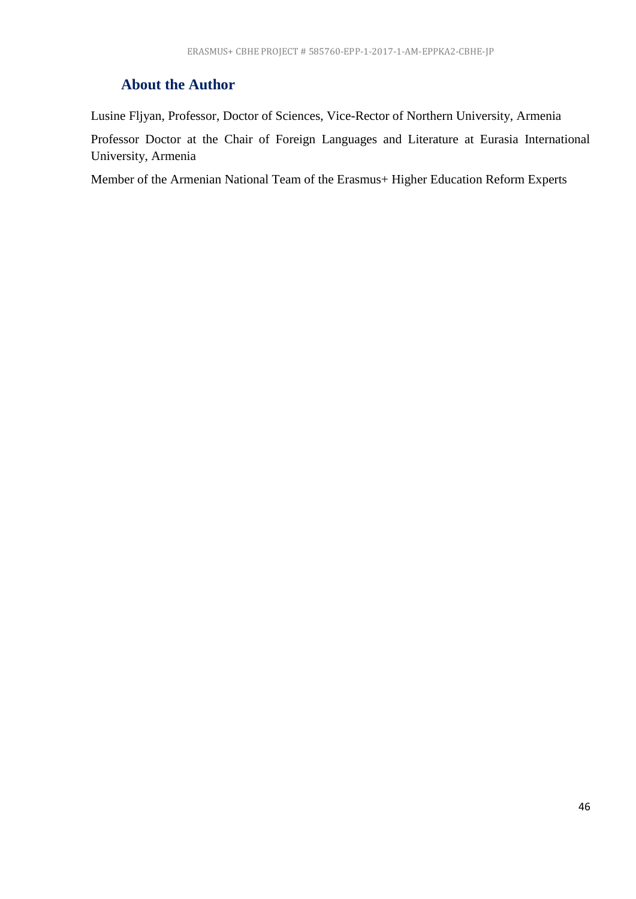# **About the Author**

Lusine Fljyan, Professor, Doctor of Sciences, Vice-Rector of Northern University, Armenia

Professor Doctor at the Chair of Foreign Languages and Literature at Eurasia International University, Armenia

Member of the Armenian National Team of the Erasmus+ Higher Education Reform Experts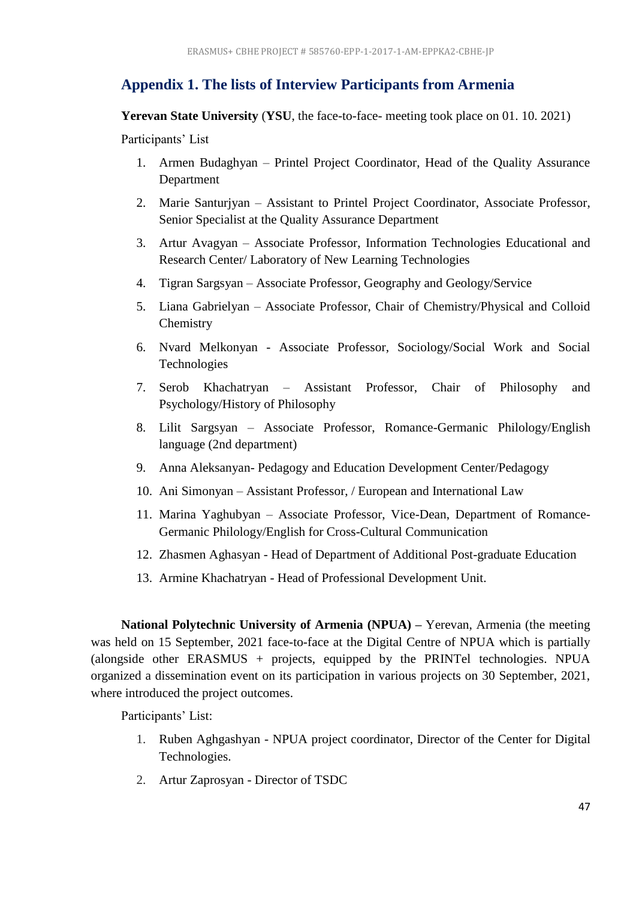# <span id="page-46-0"></span>**Appendix 1. The lists of Interview Participants from Armenia**

**Yerevan State University** (**YSU**, the face-to-face- meeting took place on 01. 10. 2021)

Participants' List

- 1. Armen Budaghyan Printel Project Coordinator, Head of the Quality Assurance Department
- 2. Marie Santurjyan Assistant to Printel Project Coordinator, Associate Professor, Senior Specialist at the Quality Assurance Department
- 3. Artur Avagyan Associate Professor, Information Technologies Educational and Research Center/ Laboratory of New Learning Technologies
- 4. Tigran Sargsyan Associate Professor, Geography and Geology/Service
- 5. Liana Gabrielyan Associate Professor, Chair of Chemistry/Physical and Colloid **Chemistry**
- 6. Nvard Melkonyan Associate Professor, Sociology/Social Work and Social Technologies
- 7. Serob Khachatryan Assistant Professor, Chair of Philosophy and Psychology/History of Philosophy
- 8. Lilit Sargsyan Associate Professor, Romance-Germanic Philology/English language (2nd department)
- 9. Anna Aleksanyan- Pedagogy and Education Development Center/Pedagogy
- 10. Ani Simonyan Assistant Professor, / European and International Law
- 11. Marina Yaghubyan Associate Professor, Vice-Dean, Department of Romance-Germanic Philology/English for Cross-Cultural Communication
- 12. Zhasmen Aghasyan Head of Department of Additional Post-graduate Education
- 13. Armine Khachatryan Head of Professional Development Unit.

**National Polytechnic University of Armenia (NPUA) –** Yerevan, Armenia (the meeting was held on 15 September, 2021 face-to-face at the Digital Centre of NPUA which is partially (alongside other ERASMUS + projects, equipped by the PRINTel technologies. NPUA organized a dissemination event on its participation in various projects on 30 September, 2021, where introduced the project outcomes.

Participants' List:

- 1. Ruben Aghgashyan NPUA project coordinator, Director of the Center for Digital Technologies.
- 2. Artur Zaprosyan Director of TSDC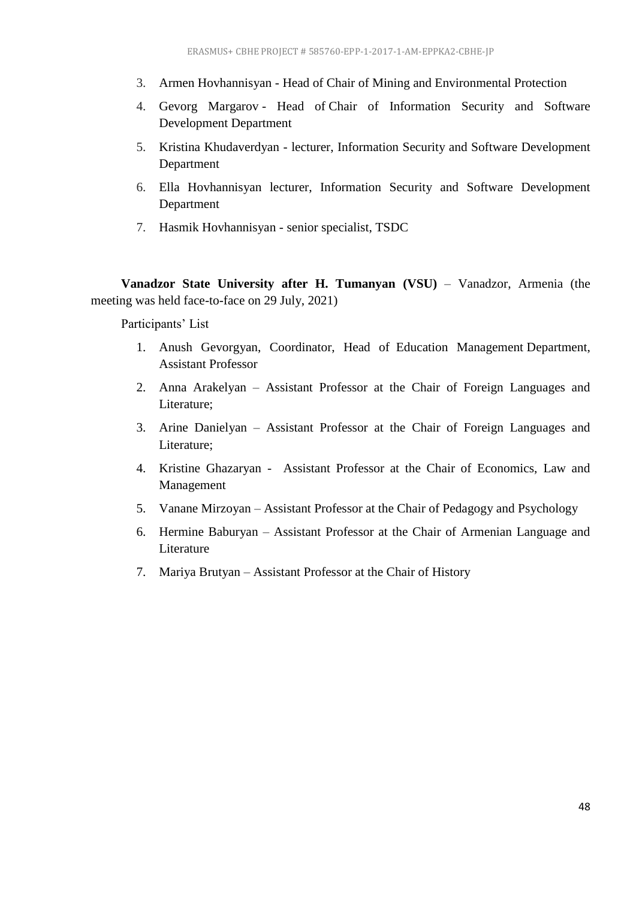- 3. Armen Hovhannisyan Head of Chair of Mining and Environmental Protection
- 4. Gevorg Margarov Head of Chair of Information Security and Software Development Department
- 5. Kristina Khudaverdyan lecturer, Information Security and Software Development Department
- 6. Ella Hovhannisyan lecturer, Information Security and Software Development Department
- 7. Hasmik Hovhannisyan senior specialist, TSDC

**Vanadzor State University after H. Tumanyan (VSU)** – Vanadzor, Armenia (the meeting was held face-to-face on 29 July, 2021)

Participants' List

- 1. Anush Gevorgyan, Coordinator, Head of Education Management Department, Assistant Professor
- 2. Anna Arakelyan Assistant Professor at the Chair of Foreign Languages and Literature;
- 3. Arine Danielyan Assistant Professor at the Chair of Foreign Languages and Literature;
- 4. Kristine Ghazaryan Assistant Professor at the Chair of Economics, Law and Management
- 5. Vanane Mirzoyan Assistant Professor at the Chair of Pedagogy and Psychology
- 6. Hermine Baburyan Assistant Professor at the Chair of Armenian Language and Literature
- <span id="page-47-0"></span>7. Mariya Brutyan – Assistant Professor at the Chair of History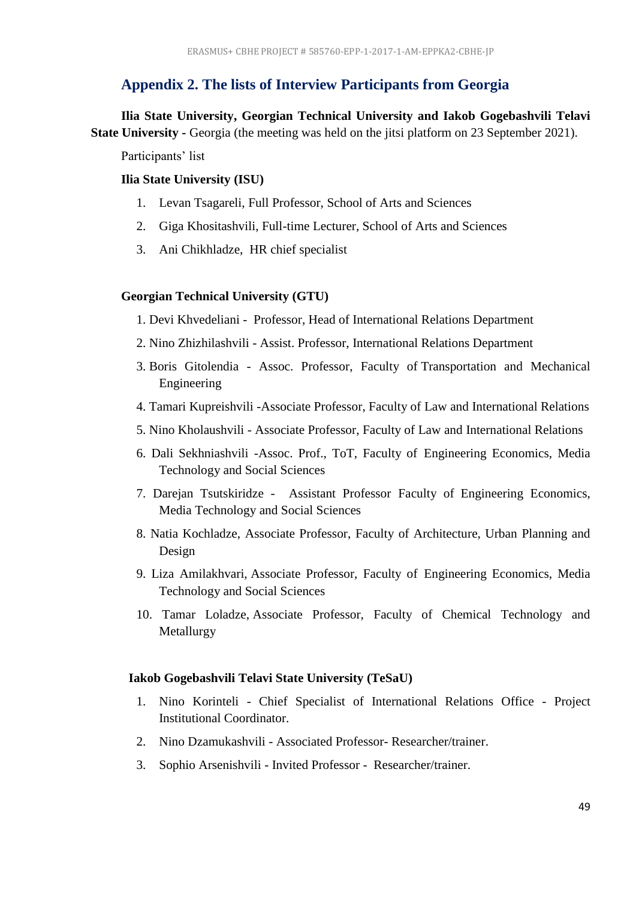# **Appendix 2. The lists of Interview Participants from Georgia**

**Ilia State University, Georgian Technical University and Iakob Gogebashvili Telavi State University -** Georgia (the meeting was held on the jitsi platform on 23 September 2021).

Participants' list

#### **Ilia State University (ISU)**

- 1. Levan Tsagareli, Full Professor, School of Arts and Sciences
- 2. Giga Khositashvili, Full-time Lecturer, School of Arts and Sciences
- 3. Ani Chikhladze, HR chief specialist

#### **Georgian Technical University (GTU)**

- 1. Devi Khvedeliani Professor, Head of International Relations Department
- 2. Nino Zhizhilashvili Assist. Professor, International Relations Department
- 3. Boris Gitolendia Assoc. Professor, Faculty of Transportation and Mechanical Engineering
- 4. Tamari Kupreishvili -Associate Professor, Faculty of Law and International Relations
- 5. Nino Kholaushvili Associate Professor, Faculty of Law and International Relations
- 6. Dali Sekhniashvili -Assoc. Prof., ToT, Faculty of Engineering Economics, Media Technology and Social Sciences
- 7. Darejan Tsutskiridze Assistant Professor Faculty of Engineering Economics, Media Technology and Social Sciences
- 8. Natia Kochladze, Associate Professor, Faculty of Architecture, Urban Planning and Design
- 9. Liza Amilakhvari, Associate Professor, Faculty of Engineering Economics, Media Technology and Social Sciences
- 10. Tamar Loladze, Associate Professor, Faculty of Chemical Technology and Metallurgy

#### **Iakob Gogebashvili Telavi State University (TeSaU)**

- 1. Nino Korinteli Chief Specialist of International Relations Office Project Institutional Coordinator.
- 2. Nino Dzamukashvili Associated Professor- Researcher/trainer.
- 3. Sophio Arsenishvili Invited Professor Researcher/trainer.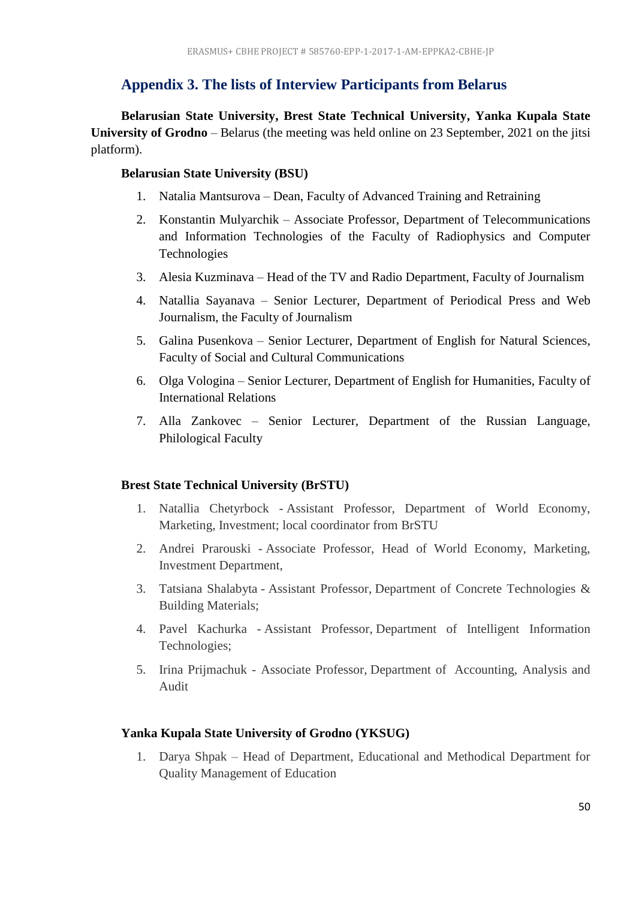# <span id="page-49-0"></span>**Appendix 3. The lists of Interview Participants from Belarus**

**Belarusian State University, Brest State Technical University, Yanka Kupala State University of Grodno** – Belarus (the meeting was held online on 23 September, 2021 on the jitsi platform).

## **Belarusian State University (BSU)**

- 1. Natalia Mantsurova Dean, Faculty of Advanced Training and Retraining
- 2. Konstantin Mulyarchik Associate Professor, Department of Telecommunications and Information Technologies of the Faculty of Radiophysics and Computer Technologies
- 3. Alesia Kuzminava Head of the TV and Radio Department, Faculty of Journalism
- 4. Natallia Sayanava Senior Lecturer, Department of Periodical Press and Web Journalism, the Faculty of Journalism
- 5. Galina Pusenkova Senior Lecturer, Department of English for Natural Sciences, Faculty of Social and Cultural Communications
- 6. Olga Vologina Senior Lecturer, Department of English for Humanities, Faculty of International Relations
- 7. Alla Zankovec Senior Lecturer, Department of the Russian Language, Philological Faculty

## **Brest State Technical University (BrSTU)**

- 1. Natallia Chetyrbock Assistant Professor, Department of World Economy, Marketing, Investment; local coordinator from BrSTU
- 2. Andrei Prarouski Associate Professor, Head of World Economy, Marketing, Investment Department,
- 3. Tatsiana Shalabyta Assistant Professor, Department of Concrete Technologies & Building Materials;
- 4. Pavel Kachurka Assistant Professor, Department of Intelligent Information Technologies;
- 5. Irina Prijmachuk Associate Professor, Department of Accounting, Analysis and Audit

## **Yanka Kupala State University of Grodno (YKSUG)**

1. Darya Shpak – Head of Department, Educational and Methodical Department for Quality Management of Education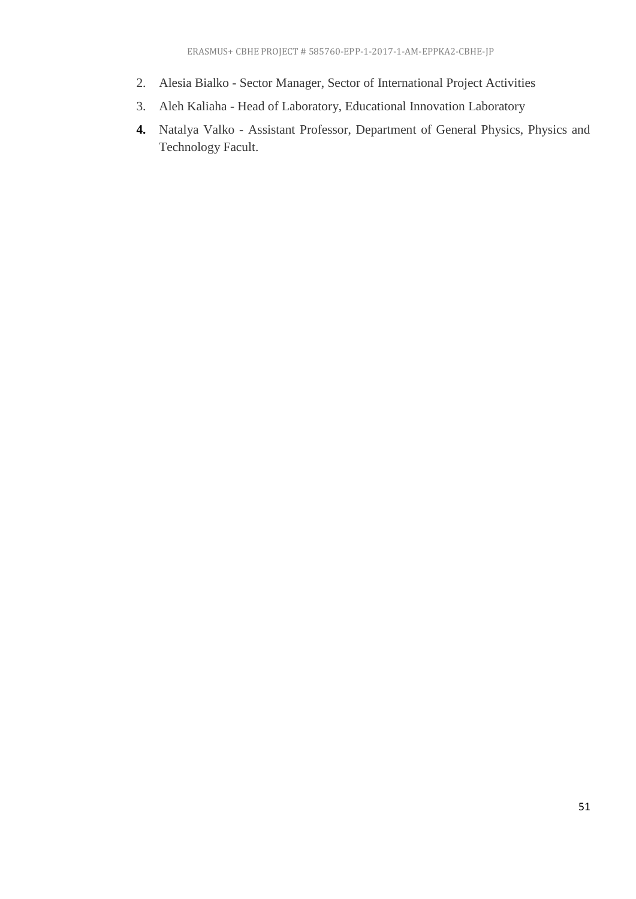- 2. Alesia Bialko Sector Manager, Sector of International Project Activities
- 3. Aleh Kaliaha Head of Laboratory, Educational Innovation Laboratory
- <span id="page-50-0"></span>**4.** Natalya Valko - Assistant Professor, Department of General Physics, Physics and Technology Facult.